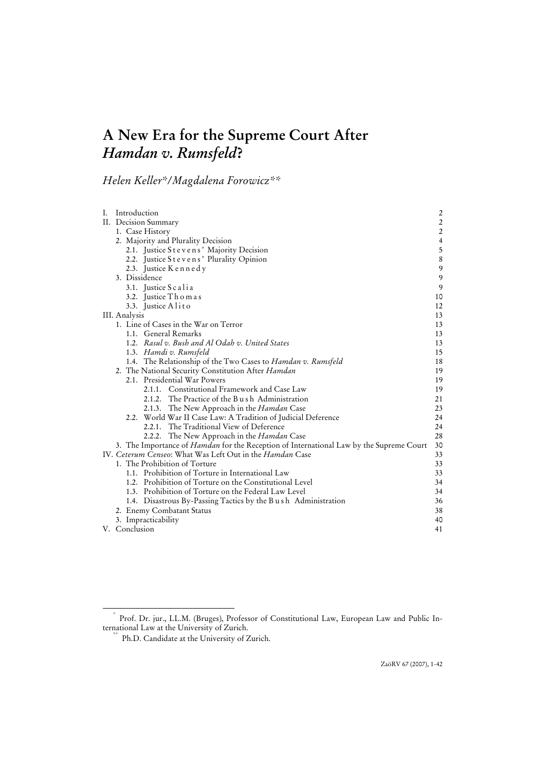# **A New Era for the Supreme Court After**  *Hamdan v. Rumsfeld***?**

*Helen Keller\*/Magdalena Forowicz\*\** 

| I. | Introduction                                                                                   | $\overline{\mathbf{c}}$ |
|----|------------------------------------------------------------------------------------------------|-------------------------|
|    | II. Decision Summary                                                                           | $\overline{\mathbf{c}}$ |
|    | 1. Case History                                                                                | $\overline{\mathbf{c}}$ |
|    | 2. Majority and Plurality Decision                                                             | $\overline{4}$          |
|    | 2.1. Justice Stevens' Majority Decision                                                        | 5                       |
|    | 2.2. Justice Stevens' Plurality Opinion                                                        | $\,8\,$                 |
|    | 2.3. Justice Kennedy                                                                           | 9                       |
|    | 3. Dissidence                                                                                  | 9                       |
|    | 3.1. Justice Scalia                                                                            | 9                       |
|    | 3.2. Justice Thomas                                                                            | 10                      |
|    | 3.3. Justice Alito                                                                             | 12                      |
|    | III. Analysis                                                                                  | 13                      |
|    | 1. Line of Cases in the War on Terror                                                          | 13                      |
|    | 1.1. General Remarks                                                                           | 13                      |
|    | 1.2. Rasul v. Bush and Al Odah v. United States                                                | 13                      |
|    | 1.3. Hamdi v. Rumsfeld                                                                         | 15                      |
|    | 1.4. The Relationship of the Two Cases to Hamdan v. Rumsfeld                                   | 18                      |
|    | 2. The National Security Constitution After Hamdan                                             | 19                      |
|    | 2.1. Presidential War Powers                                                                   | 19                      |
|    | 2.1.1. Constitutional Framework and Case Law                                                   | 19                      |
|    | 2.1.2. The Practice of the Bush Administration                                                 | 21                      |
|    | 2.1.3. The New Approach in the Hamdan Case                                                     | 23                      |
|    | 2.2. World War II Case Law: A Tradition of Judicial Deference                                  | 24                      |
|    | 2.2.1. The Traditional View of Deference                                                       | 24                      |
|    | 2.2.2. The New Approach in the <i>Hamdan</i> Case                                              | 28                      |
|    | 3. The Importance of <i>Hamdan</i> for the Reception of International Law by the Supreme Court | 30                      |
|    | IV. Ceterum Censeo: What Was Left Out in the <i>Hamdan</i> Case                                | 33                      |
|    | 1. The Prohibition of Torture                                                                  | 33                      |
|    | 1.1. Prohibition of Torture in International Law                                               | 33                      |
|    | 1.2. Prohibition of Torture on the Constitutional Level                                        | 34                      |
|    | 1.3. Prohibition of Torture on the Federal Law Level                                           | 34                      |
|    | 1.4. Disastrous By-Passing Tactics by the B u s h Administration                               | 36                      |
|    | 2. Enemy Combatant Status                                                                      | 38                      |
|    | 3. Impracticability                                                                            | 40                      |
|    | V. Conclusion                                                                                  | 41                      |

 <sup>\*</sup> Prof. Dr. jur., LL.M. (Bruges), Professor of Constitutional Law, European Law and Public In-

 $*$  Ph.D. Candidate at the University of Zurich.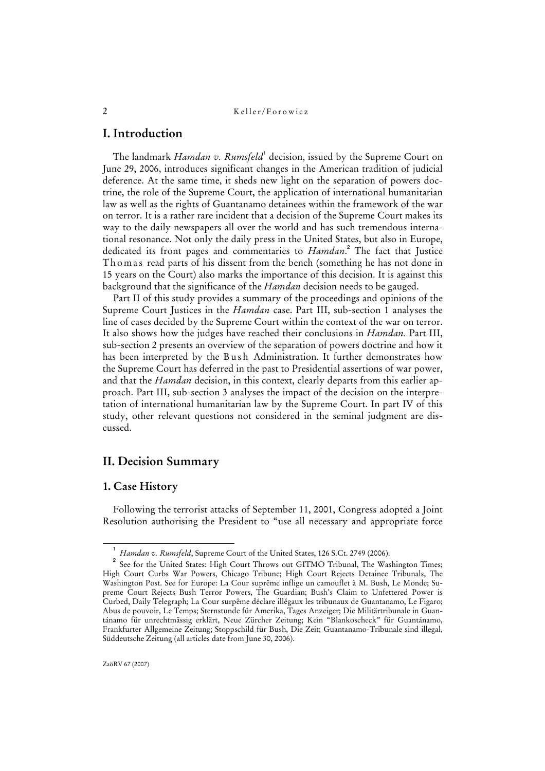# **I. Introduction**

The landmark *Hamdan v. Rumsfeld*<sup>1</sup> decision, issued by the Supreme Court on June 29, 2006, introduces significant changes in the American tradition of judicial deference. At the same time, it sheds new light on the separation of powers doctrine, the role of the Supreme Court, the application of international humanitarian law as well as the rights of Guantanamo detainees within the framework of the war on terror. It is a rather rare incident that a decision of the Supreme Court makes its way to the daily newspapers all over the world and has such tremendous international resonance. Not only the daily press in the United States, but also in Europe, dedicated its front pages and commentaries to *Hamdan*. 2 The fact that Justice Thomas read parts of his dissent from the bench (something he has not done in 15 years on the Court) also marks the importance of this decision. It is against this background that the significance of the *Hamdan* decision needs to be gauged.

Part II of this study provides a summary of the proceedings and opinions of the Supreme Court Justices in the *Hamdan* case. Part III, sub-section 1 analyses the line of cases decided by the Supreme Court within the context of the war on terror. It also shows how the judges have reached their conclusions in *Hamdan.* Part III, sub-section 2 presents an overview of the separation of powers doctrine and how it has been interpreted by the Bush Administration. It further demonstrates how the Supreme Court has deferred in the past to Presidential assertions of war power, and that the *Hamdan* decision, in this context, clearly departs from this earlier approach. Part III, sub-section 3 analyses the impact of the decision on the interpretation of international humanitarian law by the Supreme Court. In part IV of this study, other relevant questions not considered in the seminal judgment are discussed.

# **II. Decision Summary**

# **1. Case History**

Following the terrorist attacks of September 11, 2001, Congress adopted a Joint Resolution authorising the President to "use all necessary and appropriate force

 $\overline{\phantom{0}}$ *Hamdan v. Rumsfeld*, Supreme Court of the United States, 126 S.Ct. 2749 (2006).

<sup>2</sup> See for the United States: High Court Throws out GITMO Tribunal, The Washington Times; High Court Curbs War Powers, Chicago Tribune; High Court Rejects Detainee Tribunals, The Washington Post. See for Europe: La Cour suprême inflige un camouflet à M. Bush, Le Monde; Supreme Court Rejects Bush Terror Powers, The Guardian; Bush's Claim to Unfettered Power is Curbed, Daily Telegraph; La Cour surpême déclare illégaux les tribunaux de Guantanamo, Le Figaro; Abus de pouvoir, Le Temps; Sternstunde für Amerika, Tages Anzeiger; Die Militärtribunale in Guantánamo für unrechtmässig erklärt, Neue Zürcher Zeitung; Kein "Blankoscheck" für Guantánamo, Frankfurter Allgemeine Zeitung; Stoppschild für Bush, Die Zeit; Guantanamo-Tribunale sind illegal, Süddeutsche Zeitung (all articles date from June 30, 2006).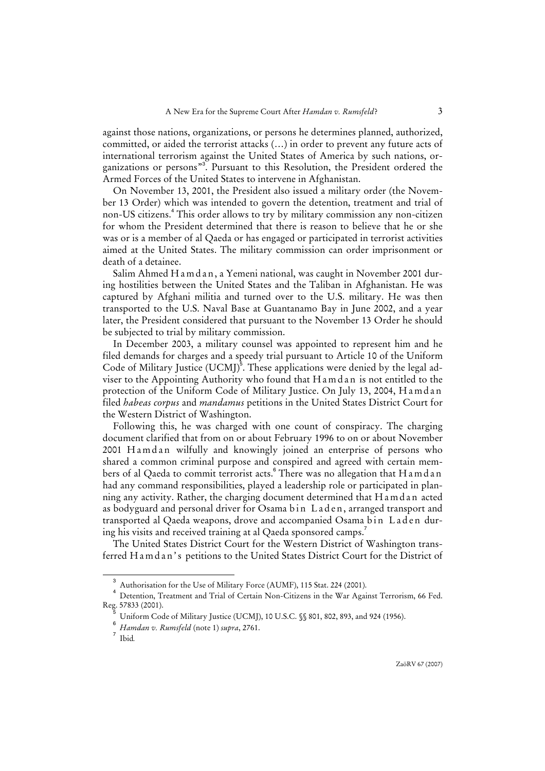against those nations, organizations, or persons he determines planned, authorized, committed, or aided the terrorist attacks (…) in order to prevent any future acts of international terrorism against the United States of America by such nations, organizations or persons"<sup>3</sup> . Pursuant to this Resolution, the President ordered the Armed Forces of the United States to intervene in Afghanistan.

On November 13, 2001, the President also issued a military order (the November 13 Order) which was intended to govern the detention, treatment and trial of non-US citizens.<sup>4</sup> This order allows to try by military commission any non-citizen for whom the President determined that there is reason to believe that he or she was or is a member of al Qaeda or has engaged or participated in terrorist activities aimed at the United States. The military commission can order imprisonment or death of a detainee.

Salim Ahmed Hamdan, a Yemeni national, was caught in November 2001 during hostilities between the United States and the Taliban in Afghanistan. He was captured by Afghani militia and turned over to the U.S. military. He was then transported to the U.S. Naval Base at Guantanamo Bay in June 2002, and a year later, the President considered that pursuant to the November 13 Order he should be subjected to trial by military commission.

In December 2003, a military counsel was appointed to represent him and he filed demands for charges and a speedy trial pursuant to Article 10 of the Uniform Code of Military Justice (UCMJ) $^5$ . These applications were denied by the legal adviser to the Appointing Authority who found that H a m d a n is not entitled to the protection of the Uniform Code of Military Justice. On July 13, 2004, Hamdan filed *habeas corpus* and *mandamus* petitions in the United States District Court for the Western District of Washington.

Following this, he was charged with one count of conspiracy. The charging document clarified that from on or about February 1996 to on or about November 2001 Hamdan wilfully and knowingly joined an enterprise of persons who shared a common criminal purpose and conspired and agreed with certain members of al Qaeda to commit terrorist acts.<sup>6</sup> There was no allegation that Hamdan had any command responsibilities, played a leadership role or participated in planning any activity. Rather, the charging document determined that H a m d a n acted as bodyguard and personal driver for Osama bin Laden, arranged transport and transported al Qaeda weapons, drove and accompanied Osama bin Laden during his visits and received training at al Qaeda sponsored camps.<sup>7</sup>

The United States District Court for the Western District of Washington transferred Hamdan's petitions to the United States District Court for the District of

 $\overline{a}$ Authorisation for the Use of Military Force (AUMF), 115 Stat. 224 (2001).

<sup>&</sup>lt;sup>4</sup> Detention, Treatment and Trial of Certain Non-Citizens in the War Against Terrorism, 66 Fed.  $\text{Reg. } 57833 \text{ (2001)}.$ 

Uniform Code of Military Justice (UCMJ), 10 U.S.C. §§ 801, 802, 893, and 924 (1956).

<sup>6</sup>  *Hamdan v. Rumsfeld* (note 1) *supra*, 2761.

<sup>7</sup> Ibid*.*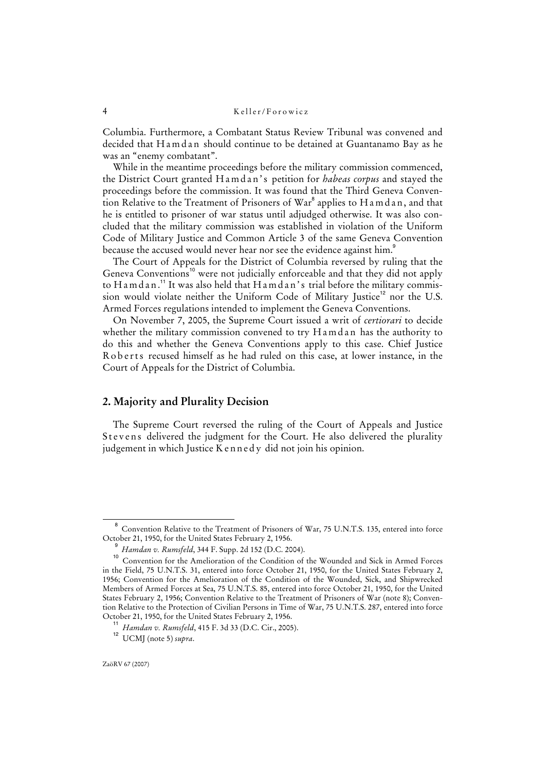Columbia. Furthermore, a Combatant Status Review Tribunal was convened and decided that H a m d a n should continue to be detained at Guantanamo Bay as he was an "enemy combatant".

While in the meantime proceedings before the military commission commenced, the District Court granted H a m d a n ' s petition for *habeas corpus* and stayed the proceedings before the commission. It was found that the Third Geneva Convention Relative to the Treatment of Prisoners of War $^8$  applies to Hamdan, and that he is entitled to prisoner of war status until adjudged otherwise. It was also concluded that the military commission was established in violation of the Uniform Code of Military Justice and Common Article 3 of the same Geneva Convention because the accused would never hear nor see the evidence against him. $^\mathrm{s}$ 

The Court of Appeals for the District of Columbia reversed by ruling that the Geneva Conventions<sup>10</sup> were not judicially enforceable and that they did not apply to H a m d a n.<sup>11</sup> It was also held that H a m d a n's trial before the military commission would violate neither the Uniform Code of Military Justice<sup>12</sup> nor the U.S. Armed Forces regulations intended to implement the Geneva Conventions.

On November 7, 2005, the Supreme Court issued a writ of *certiorari* to decide whether the military commission convened to try Hamdan has the authority to do this and whether the Geneva Conventions apply to this case. Chief Justice Roberts recused himself as he had ruled on this case, at lower instance, in the Court of Appeals for the District of Columbia.

## **2. Majority and Plurality Decision**

The Supreme Court reversed the ruling of the Court of Appeals and Justice Stevens delivered the judgment for the Court. He also delivered the plurality judgement in which Justice K e n n e d y did not join his opinion.

<sup>8</sup> Convention Relative to the Treatment of Prisoners of War, 75 U.N.T.S. 135, entered into force October 21, 1950, for the United States February 2, 1956.

<sup>9</sup> *Hamdan v. Rumsfeld*, 344 F. Supp. 2d 152 (D.C. 2004).

<sup>&</sup>lt;sup>10</sup> Convention for the Amelioration of the Condition of the Wounded and Sick in Armed Forces in the Field, 75 U.N.T.S. 31, entered into force October 21, 1950, for the United States February 2, 1956; Convention for the Amelioration of the Condition of the Wounded, Sick, and Shipwrecked Members of Armed Forces at Sea, 75 U.N.T.S. 85, entered into force October 21, 1950, for the United States February 2, 1956; Convention Relative to the Treatment of Prisoners of War (note 8); Convention Relative to the Protection of Civilian Persons in Time of War, 75 U.N.T.S. 287, entered into force October 21, 1950, for the United States February 2, 1956.

<sup>11</sup> *Hamdan v. Rumsfeld*, 415 F. 3d 33 (D.C. Cir., 2005).

<sup>12</sup> UCMJ (note 5) *supra*.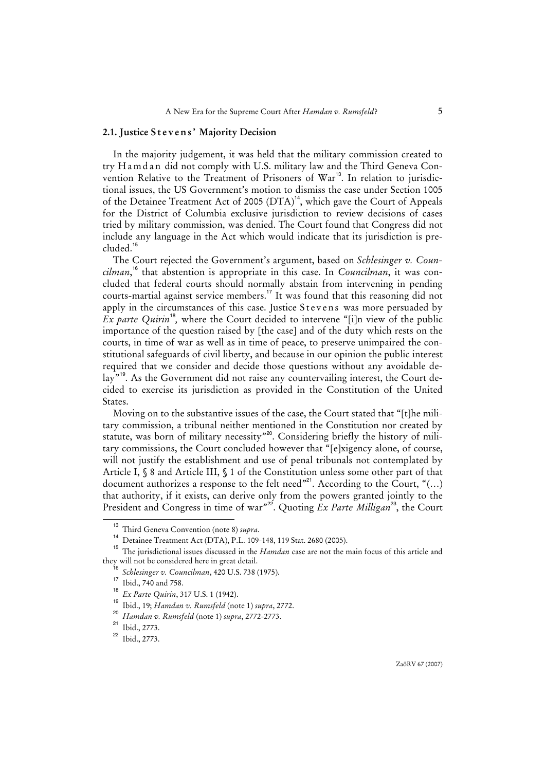#### **2.1. Justice S t e v e n s ' Majority Decision**

In the majority judgement, it was held that the military commission created to try Hamdan did not comply with U.S. military law and the Third Geneva Convention Relative to the Treatment of Prisoners of War<sup>13</sup>. In relation to jurisdictional issues, the US Government's motion to dismiss the case under Section 1005 of the Detainee Treatment Act of 2005  $(DTA)^{14}$ , which gave the Court of Appeals for the District of Columbia exclusive jurisdiction to review decisions of cases tried by military commission, was denied. The Court found that Congress did not include any language in the Act which would indicate that its jurisdiction is precluded.<sup>15</sup>

The Court rejected the Government's argument, based on *Schlesinger v. Councilman*, <sup>16</sup> that abstention is appropriate in this case. In *Councilman*, it was concluded that federal courts should normally abstain from intervening in pending courts-martial against service members.<sup>17</sup> It was found that this reasoning did not apply in the circumstances of this case. Justice Stevens was more persuaded by *Ex parte Quirin*<sup>18</sup>, where the Court decided to intervene "[i]n view of the public importance of the question raised by [the case] and of the duty which rests on the courts, in time of war as well as in time of peace, to preserve unimpaired the constitutional safeguards of civil liberty, and because in our opinion the public interest required that we consider and decide those questions without any avoidable delay<sup>"19</sup>. As the Government did not raise any countervailing interest, the Court decided to exercise its jurisdiction as provided in the Constitution of the United States.

Moving on to the substantive issues of the case, the Court stated that "[t]he military commission, a tribunal neither mentioned in the Constitution nor created by statute, was born of military necessity"<sup>20</sup>. Considering briefly the history of military commissions, the Court concluded however that "[e]xigency alone, of course, will not justify the establishment and use of penal tribunals not contemplated by Article I, § 8 and Article III, § 1 of the Constitution unless some other part of that document authorizes a response to the felt need"<sup>21</sup>. According to the Court, " $\dots$ ) that authority, if it exists, can derive only from the powers granted jointly to the President and Congress in time of war"<sup>22</sup>. Quoting *Ex Parte Milligan*<sup>23</sup>, the Court

<sup>13</sup> Third Geneva Convention (note 8) *supra*.

<sup>14</sup> Detainee Treatment Act (DTA), P.L. 109-148, 119 Stat. 2680 (2005).

<sup>15</sup> The jurisdictional issues discussed in the *Hamdan* case are not the main focus of this article and they will not be considered here in great detail.<br> $\frac{16}{5}$   $\frac{6}{5}$   $\frac{11}{10}$   $\frac{1}{10}$   $\frac{1}{10}$   $\frac{1}{10}$   $\frac{1}{10}$   $\frac{1}{10}$   $\frac{1}{10}$   $\frac{1}{10}$ 

*Schlesinger v. Councilman*, 420 U.S. 738 (1975).

<sup>&</sup>lt;sup>17</sup> Ibid., 740 and 758.

<sup>18</sup> *Ex Parte Quirin*, 317 U.S. 1 (1942).

<sup>19</sup> Ibid., 19; *Hamdan v. Rumsfeld* (note 1) *supra*, 2772.

<sup>20</sup> *Hamdan v. Rumsfeld* (note 1) *supra*, 2772-2773.

<sup>21</sup> Ibid., 2773.

<sup>22</sup> Ibid., 2773.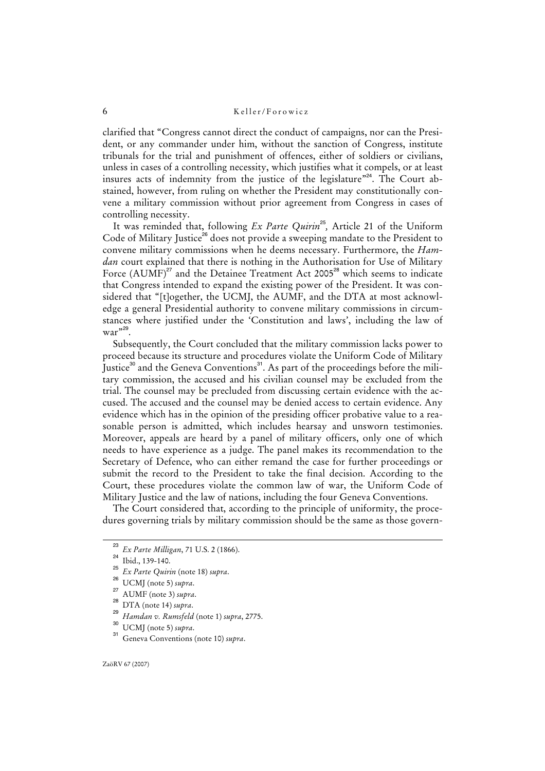clarified that "Congress cannot direct the conduct of campaigns, nor can the President, or any commander under him, without the sanction of Congress, institute tribunals for the trial and punishment of offences, either of soldiers or civilians, unless in cases of a controlling necessity, which justifies what it compels, or at least insures acts of indemnity from the justice of the legislature"<sup>24</sup>. The Court abstained, however, from ruling on whether the President may constitutionally convene a military commission without prior agreement from Congress in cases of controlling necessity.

It was reminded that, following *Ex Parte Quirin*<sup>25</sup>, Article 21 of the Uniform Code of Military Justice<sup>26</sup> does not provide a sweeping mandate to the President to convene military commissions when he deems necessary. Furthermore, the *Hamdan* court explained that there is nothing in the Authorisation for Use of Military Force  $(AUMF)^{27}$  and the Detainee Treatment Act 2005<sup>28</sup> which seems to indicate that Congress intended to expand the existing power of the President. It was considered that "[t]ogether, the UCMJ, the AUMF, and the DTA at most acknowledge a general Presidential authority to convene military commissions in circumstances where justified under the 'Constitution and laws', including the law of war"<sup>29</sup>.

Subsequently, the Court concluded that the military commission lacks power to proceed because its structure and procedures violate the Uniform Code of Military Justice<sup>30</sup> and the Geneva Conventions<sup>31</sup>. As part of the proceedings before the military commission, the accused and his civilian counsel may be excluded from the trial. The counsel may be precluded from discussing certain evidence with the accused. The accused and the counsel may be denied access to certain evidence. Any evidence which has in the opinion of the presiding officer probative value to a reasonable person is admitted, which includes hearsay and unsworn testimonies. Moreover, appeals are heard by a panel of military officers, only one of which needs to have experience as a judge. The panel makes its recommendation to the Secretary of Defence, who can either remand the case for further proceedings or submit the record to the President to take the final decision. According to the Court, these procedures violate the common law of war, the Uniform Code of Military Justice and the law of nations, including the four Geneva Conventions.

The Court considered that, according to the principle of uniformity, the procedures governing trials by military commission should be the same as those govern-

<sup>23</sup> *Ex Parte Milligan*, 71 U.S. 2 (1866).

 $^{24}$  Ibid., 139-140.

<sup>25</sup> *Ex Parte Quirin* (note 18) *supra*.

<sup>26</sup> UCMJ (note 5) *supra*.

AUMF (note 3) supra.

DTA (note 14) supra.

<sup>29</sup> *Hamdan v. Rumsfeld* (note 1) *supra*, 2775.

 $\frac{30}{31}$  UCMJ (note 5) *supra*.

<sup>31</sup> Geneva Conventions (note 10) *supra*.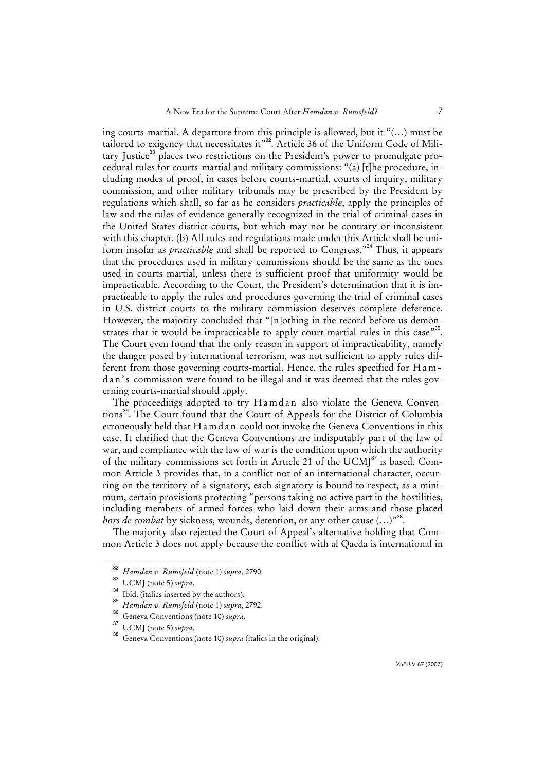ing courts-martial. A departure from this principle is allowed, but it "(…) must be tailored to exigency that necessitates it"<sup>32</sup>. Article 36 of the Uniform Code of Military Justice<sup>33</sup> places two restrictions on the President's power to promulgate procedural rules for courts-martial and military commissions: "(a) [t]he procedure, including modes of proof, in cases before courts-martial, courts of inquiry, military commission, and other military tribunals may be prescribed by the President by regulations which shall, so far as he considers *practicable*, apply the principles of law and the rules of evidence generally recognized in the trial of criminal cases in the United States district courts, but which may not be contrary or inconsistent with this chapter. (b) All rules and regulations made under this Article shall be uniform insofar as *practicable* and shall be reported to Congress."<sup>34</sup> Thus, it appears that the procedures used in military commissions should be the same as the ones used in courts-martial, unless there is sufficient proof that uniformity would be impracticable. According to the Court, the President's determination that it is impracticable to apply the rules and procedures governing the trial of criminal cases in U.S. district courts to the military commission deserves complete deference. However, the majority concluded that "[n]othing in the record before us demonstrates that it would be impracticable to apply court-martial rules in this case"<sup>35</sup>. The Court even found that the only reason in support of impracticability, namely the danger posed by international terrorism, was not sufficient to apply rules different from those governing courts-martial. Hence, the rules specified for H a m dan's commission were found to be illegal and it was deemed that the rules governing courts-martial should apply.

The proceedings adopted to try Hamdan also violate the Geneva Conventions<sup>36</sup>. The Court found that the Court of Appeals for the District of Columbia erroneously held that H a m d a n could not invoke the Geneva Conventions in this case. It clarified that the Geneva Conventions are indisputably part of the law of war, and compliance with the law of war is the condition upon which the authority of the military commissions set forth in Article 21 of the UCMJ<sup>37</sup> is based. Common Article 3 provides that, in a conflict not of an international character, occurring on the territory of a signatory, each signatory is bound to respect, as a minimum, certain provisions protecting "persons taking no active part in the hostilities, including members of armed forces who laid down their arms and those placed *hors de combat* by sickness, wounds, detention, or any other cause (...)<sup>38</sup>.

The majority also rejected the Court of Appeal's alternative holding that Common Article 3 does not apply because the conflict with al Qaeda is international in

<sup>32</sup> *Hamdan v. Rumsfeld* (note 1) *supra*, 2790.

<sup>33</sup> UCMJ (note 5) *supra*.

<sup>&</sup>lt;sup>34</sup> Ibid. (italics inserted by the authors).

<sup>35</sup> *Hamdan v. Rumsfeld* (note 1) *supra*, 2792.

<sup>36</sup> Geneva Conventions (note 10) *supra*.

<sup>37</sup> UCMJ (note 5) *supra*.

Geneva Conventions (note 10) *supra* (italics in the original).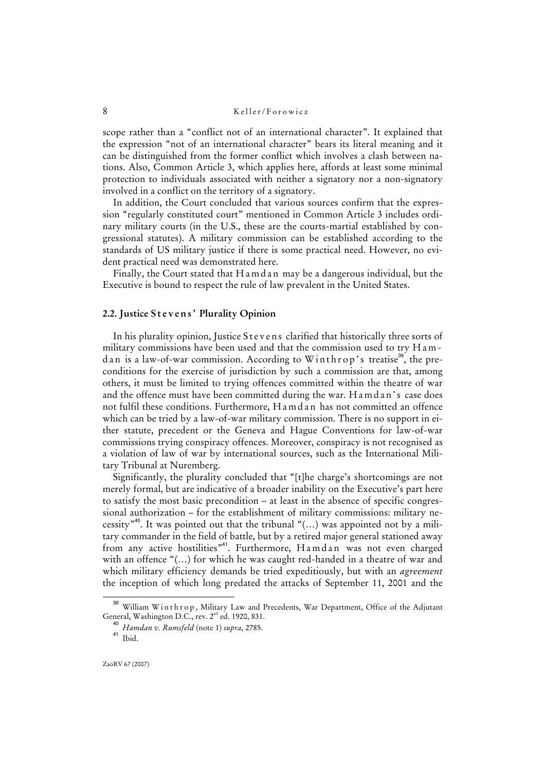scope rather than a "conflict not of an international character". It explained that the expression "not of an international character" bears its literal meaning and it can be distinguished from the former conflict which involves a clash between nations. Also, Common Article 3, which applies here, affords at least some minimal protection to individuals associated with neither a signatory nor a non-signatory involved in a conflict on the territory of a signatory.

In addition, the Court concluded that various sources confirm that the expression "regularly constituted court" mentioned in Common Article 3 includes ordinary military courts (in the U.S., these are the courts-martial established by congressional statutes). A military commission can be established according to the standards of US military justice if there is some practical need. However, no evident practical need was demonstrated here.

Finally, the Court stated that H a m d a n may be a dangerous individual, but the Executive is bound to respect the rule of law prevalent in the United States.

#### **2.2. Justice S t e v e n s ' Plurality Opinion**

In his plurality opinion, Justice Stevens clarified that historically three sorts of military commissions have been used and that the commission used to try Hamd an is a law-of-war commission. According to Winthrop's treatise<sup>39</sup>, the preconditions for the exercise of jurisdiction by such a commission are that, among others, it must be limited to trying offences committed within the theatre of war and the offence must have been committed during the war. Hamdan's case does not fulfil these conditions. Furthermore, Hamdan has not committed an offence which can be tried by a law-of-war military commission. There is no support in either statute, precedent or the Geneva and Hague Conventions for law-of-war commissions trying conspiracy offences. Moreover, conspiracy is not recognised as a violation of law of war by international sources, such as the International Military Tribunal at Nuremberg.

Significantly, the plurality concluded that "[t]he charge's shortcomings are not merely formal, but are indicative of a broader inability on the Executive's part here to satisfy the most basic precondition – at least in the absence of specific congressional authorization – for the establishment of military commissions: military necessity<sup>"40</sup>. It was pointed out that the tribunal " $(...)$  was appointed not by a military commander in the field of battle, but by a retired major general stationed away from any active hostilities"<sup>41</sup>. Furthermore, Hamdan was not even charged with an offence "(…) for which he was caught red-handed in a theatre of war and which military efficiency demands be tried expeditiously, but with an *agreement* the inception of which long predated the attacks of September 11, 2001 and the

ZaöRV 67 (2007)

<sup>&</sup>lt;sup>39</sup> William Winthrop, Military Law and Precedents, War Department, Office of the Adjutant General, Washington D.C., rev. 2<sup>nd</sup> ed. 1920, 831.

<sup>40</sup> *Hamdan v. Rumsfeld* (note 1) *supra*, 2785.

<sup>41</sup> Ibid.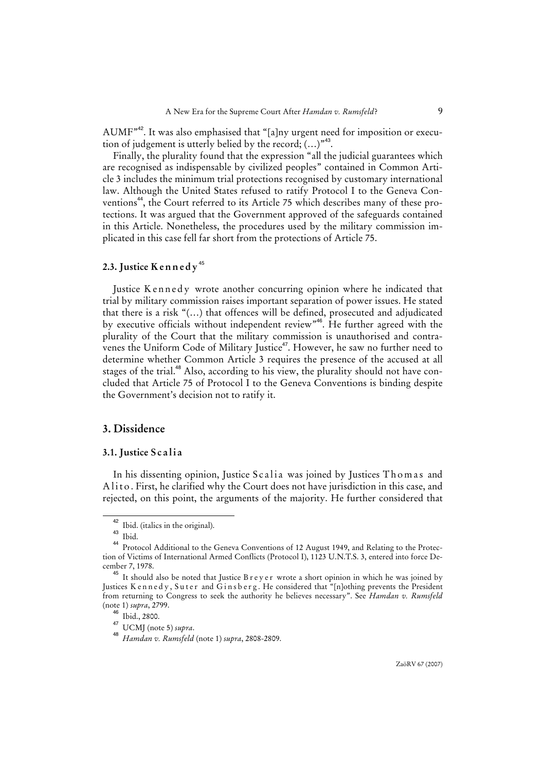AUMF"<sup>42</sup>. It was also emphasised that "[a]ny urgent need for imposition or execution of judgement is utterly belied by the record;  $(...)$ <sup>43</sup>.

Finally, the plurality found that the expression "all the judicial guarantees which are recognised as indispensable by civilized peoples" contained in Common Article 3 includes the minimum trial protections recognised by customary international law. Although the United States refused to ratify Protocol I to the Geneva Conventions<sup>44</sup>, the Court referred to its Article 75 which describes many of these protections. It was argued that the Government approved of the safeguards contained in this Article. Nonetheless, the procedures used by the military commission implicated in this case fell far short from the protections of Article 75.

## **2.3. Justice K e n n e d y** <sup>45</sup>

Justice Kennedy wrote another concurring opinion where he indicated that trial by military commission raises important separation of power issues. He stated that there is a risk "(…) that offences will be defined, prosecuted and adjudicated by executive officials without independent review"<sup>46</sup>. He further agreed with the plurality of the Court that the military commission is unauthorised and contravenes the Uniform Code of Military Justice<sup>47</sup>. However, he saw no further need to determine whether Common Article 3 requires the presence of the accused at all stages of the trial.<sup>48</sup> Also, according to his view, the plurality should not have concluded that Article 75 of Protocol I to the Geneva Conventions is binding despite the Government's decision not to ratify it.

## **3. Dissidence**

#### **3.1. Justice S c a l i a**

In his dissenting opinion, Justice Scalia was joined by Justices Thomas and Alito. First, he clarified why the Court does not have jurisdiction in this case, and rejected, on this point, the arguments of the majority. He further considered that

ZaöRV 67 (2007)

 $^{42}$  Ibid. (italics in the original).

Ibid.

<sup>44</sup> Protocol Additional to the Geneva Conventions of 12 August 1949, and Relating to the Protection of Victims of International Armed Conflicts (Protocol I), 1123 U.N.T.S. 3, entered into force December 7, 1978.

 $45$  It should also be noted that Justice B r e y e r wrote a short opinion in which he was joined by Justices K ennedy, Suter and Ginsberg. He considered that "[n]othing prevents the President from returning to Congress to seek the authority he believes necessary". See *Hamdan v. Rumsfeld* (note 1) *supra*, 2799.

<sup>46</sup> Ibid., 2800.

<sup>47</sup> UCMJ (note 5) *supra*.

<sup>48</sup> *Hamdan v. Rumsfeld* (note 1) *supra*, 2808-2809.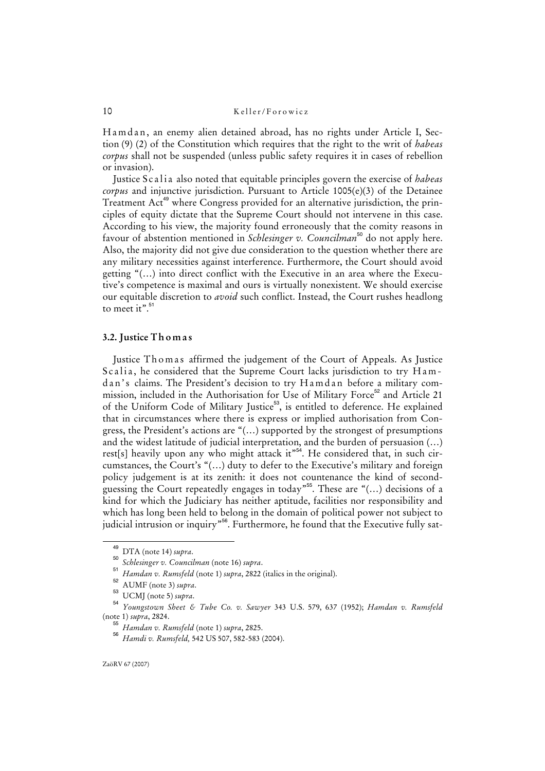Hamdan, an enemy alien detained abroad, has no rights under Article I, Section (9) (2) of the Constitution which requires that the right to the writ of *habeas corpus* shall not be suspended (unless public safety requires it in cases of rebellion or invasion).

Justice Scalia also noted that equitable principles govern the exercise of *habeas corpus* and injunctive jurisdiction. Pursuant to Article 1005(e)(3) of the Detainee Treatment Act<sup>49</sup> where Congress provided for an alternative jurisdiction, the principles of equity dictate that the Supreme Court should not intervene in this case. According to his view, the majority found erroneously that the comity reasons in favour of abstention mentioned in *Schlesinger v. Councilman*<sup>50</sup> do not apply here. Also, the majority did not give due consideration to the question whether there are any military necessities against interference. Furthermore, the Court should avoid getting "(…) into direct conflict with the Executive in an area where the Executive's competence is maximal and ours is virtually nonexistent. We should exercise our equitable discretion to *avoid* such conflict. Instead, the Court rushes headlong to meet it". $51$ 

#### **3.2. Justice T h o m a s**

Justice Thomas affirmed the judgement of the Court of Appeals. As Justice Scalia, he considered that the Supreme Court lacks jurisdiction to try Hamdan's claims. The President's decision to try Hamdan before a military commission, included in the Authorisation for Use of Military Force<sup>52</sup> and Article 21 of the Uniform Code of Military Justice<sup>53</sup>, is entitled to deference. He explained that in circumstances where there is express or implied authorisation from Congress, the President's actions are "(…) supported by the strongest of presumptions and the widest latitude of judicial interpretation, and the burden of persuasion (…) rest[s] heavily upon any who might attack it"<sup>54</sup>. He considered that, in such circumstances, the Court's "(…) duty to defer to the Executive's military and foreign policy judgement is at its zenith: it does not countenance the kind of secondguessing the Court repeatedly engages in today<sup>"55</sup>. These are " $(...)$  decisions of a kind for which the Judiciary has neither aptitude, facilities nor responsibility and which has long been held to belong in the domain of political power not subject to judicial intrusion or inquiry<sup>"56</sup>. Furthermore, he found that the Executive fully sat-

<sup>49</sup> DTA (note 14) *supra*.

<sup>50</sup> *Schlesinger v. Councilman* (note 16) *supra*. 51

*Hamdan v. Rumsfeld* (note 1) *supra*, 2822 (italics in the original).

<sup>52</sup> AUMF (note 3) *supra*.

<sup>53</sup> UCMJ (note 5) *supra*.

<sup>54</sup> *Youngstown Sheet & Tube Co. v. Sawyer* 343 U.S. 579, 637 (1952); *Hamdan v. Rumsfeld* (note 1) *supra*, 2824.

<sup>55</sup> *Hamdan v. Rumsfeld* (note 1) *supra*, 2825.

<sup>56</sup> *Hamdi v. Rumsfeld,* 542 US 507, 582-583 (2004).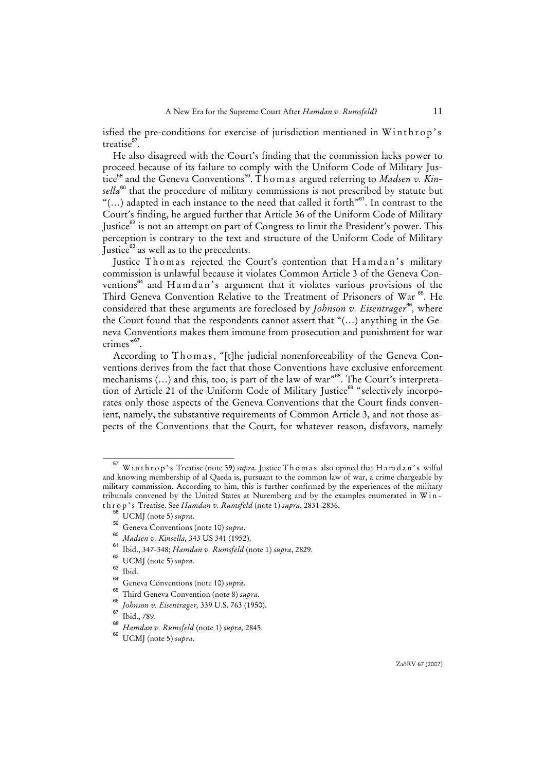isfied the pre-conditions for exercise of jurisdiction mentioned in Winthrop's treatise<sup>57</sup>.

He also disagreed with the Court's finding that the commission lacks power to proceed because of its failure to comply with the Uniform Code of Military Justice<sup>58</sup> and the Geneva Conventions<sup>59</sup>. Thomas argued referring to *Madsen v. Kin*sella<sup>60</sup> that the procedure of military commissions is not prescribed by statute but " $(...)$  adapted in each instance to the need that called it forth" $61$ . In contrast to the Court's finding, he argued further that Article 36 of the Uniform Code of Military Justice $^{62}$  is not an attempt on part of Congress to limit the President's power. This perception is contrary to the text and structure of the Uniform Code of Military Justice<sup>63</sup> as well as to the precedents.

Justice Thomas rejected the Court's contention that Hamdan's military commission is unlawful because it violates Common Article 3 of the Geneva Conventions<sup>64</sup> and H a m d a n's argument that it violates various provisions of the Third Geneva Convention Relative to the Treatment of Prisoners of War<sup>65</sup>. He considered that these arguments are foreclosed by *Johnson v. Eisentrager*<sup>66</sup>, where the Court found that the respondents cannot assert that "(…) anything in the Geneva Conventions makes them immune from prosecution and punishment for war crimes"<sup>67</sup>.

According to Thomas, "[t]he judicial nonenforceability of the Geneva Conventions derives from the fact that those Conventions have exclusive enforcement mechanisms (...) and this, too, is part of the law of war<sup>368</sup>. The Court's interpretation of Article 21 of the Uniform Code of Military Justice<sup>69</sup> "selectively incorporates only those aspects of the Geneva Conventions that the Court finds convenient, namely, the substantive requirements of Common Article 3, and not those aspects of the Conventions that the Court, for whatever reason, disfavors, namely

<sup>57</sup> W i n t h r o p ' s Treatise (note 39) *supra*. Justice T h o m a s also opined that H a m d a n ' s wilful and knowing membership of al Qaeda is, pursuant to the common law of war, a crime chargeable by military commission. According to him, this is further confirmed by the experiences of the military tribunals convened by the United States at Nuremberg and by the examples enumerated in Wint h r o p ' s Treatise. See *Hamdan v. Rumsfeld* (note 1) *supra*, 2831-2836.

 $\big\}$  UCMJ (note 5) *supra*.

<sup>59</sup> Geneva Conventions (note 10) *supra*.

<sup>60</sup> *Madsen v. Kinsella,* 343 US 341 (1952).

<sup>61</sup> Ibid., 347-348; *Hamdan v. Rumsfeld* (note 1) *supra*, 2829.

 $^{62}$  UCMJ (note 5) *supra*.

 $\frac{63}{64}$  Ibid.

<sup>64</sup> Geneva Conventions (note 10) *supra*.

<sup>65</sup> Third Geneva Convention (note 8) *supra*.

<sup>66</sup> *Johnson v. Eisentrager,* 339 U.S. 763 (1950).

 $\frac{67}{68}$  Ibid., 789.

<sup>68</sup> *Hamdan v. Rumsfeld* (note 1) *supra*, 2845.

<sup>69</sup> UCMJ (note 5) *supra*.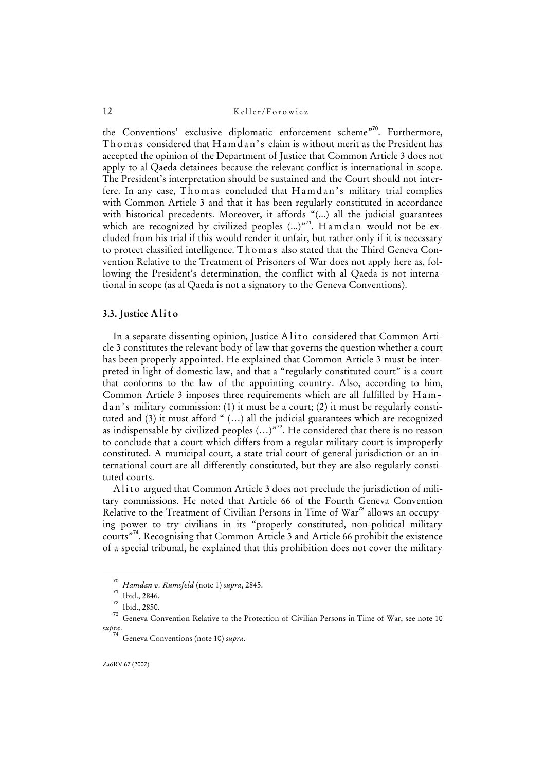the Conventions' exclusive diplomatic enforcement scheme"<sup>70</sup>. Furthermore, Tho mas considered that H a m d an's claim is without merit as the President has accepted the opinion of the Department of Justice that Common Article 3 does not apply to al Qaeda detainees because the relevant conflict is international in scope. The President's interpretation should be sustained and the Court should not interfere. In any case, Thomas concluded that Hamdan's military trial complies with Common Article 3 and that it has been regularly constituted in accordance with historical precedents. Moreover, it affords "(...) all the judicial guarantees which are recognized by civilized peoples  $(...)$ <sup>71</sup>. Hamdan would not be excluded from his trial if this would render it unfair, but rather only if it is necessary to protect classified intelligence. T h o m a s also stated that the Third Geneva Convention Relative to the Treatment of Prisoners of War does not apply here as, following the President's determination, the conflict with al Qaeda is not international in scope (as al Qaeda is not a signatory to the Geneva Conventions).

#### **3.3. Justice A l i t o**

In a separate dissenting opinion, Justice A lite considered that Common Article 3 constitutes the relevant body of law that governs the question whether a court has been properly appointed. He explained that Common Article 3 must be interpreted in light of domestic law, and that a "regularly constituted court" is a court that conforms to the law of the appointing country. Also, according to him, Common Article 3 imposes three requirements which are all fulfilled by Ham $d$  an's military commission: (1) it must be a court; (2) it must be regularly constituted and (3) it must afford " (…) all the judicial guarantees which are recognized as indispensable by civilized peoples  $(...)$ <sup>72</sup>. He considered that there is no reason to conclude that a court which differs from a regular military court is improperly constituted. A municipal court, a state trial court of general jurisdiction or an international court are all differently constituted, but they are also regularly constituted courts.

A lito argued that Common Article 3 does not preclude the jurisdiction of military commissions. He noted that Article 66 of the Fourth Geneva Convention Relative to the Treatment of Civilian Persons in Time of War<sup>73</sup> allows an occupying power to try civilians in its "properly constituted, non-political military courts"<sup>74</sup>. Recognising that Common Article 3 and Article 66 prohibit the existence of a special tribunal, he explained that this prohibition does not cover the military

<sup>70</sup> *Hamdan v. Rumsfeld* (note 1) *supra*, 2845.

<sup>71</sup> Ibid., 2846.

<sup>72</sup> Ibid., 2850.

<sup>&</sup>lt;sup>73</sup> Geneva Convention Relative to the Protection of Civilian Persons in Time of War, see note 10 *supra*.

<sup>74</sup> Geneva Conventions (note 10) *supra*.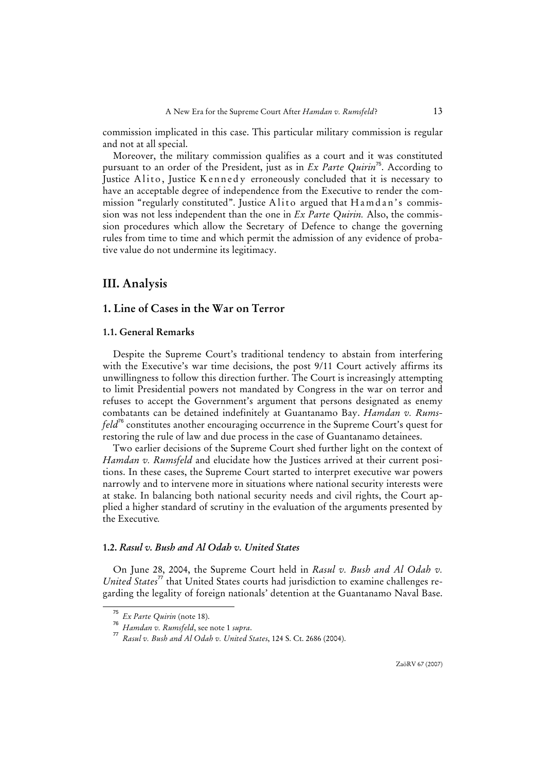commission implicated in this case. This particular military commission is regular and not at all special.

Moreover, the military commission qualifies as a court and it was constituted pursuant to an order of the President, just as in *Ex Parte Quirin*<sup>75</sup>. According to Justice Alito, Justice Kennedy erroneously concluded that it is necessary to have an acceptable degree of independence from the Executive to render the commission "regularly constituted". Justice A lite argued that  $H$  a m d an's commission was not less independent than the one in *Ex Parte Quirin.* Also, the commission procedures which allow the Secretary of Defence to change the governing rules from time to time and which permit the admission of any evidence of probative value do not undermine its legitimacy.

## **III. Analysis**

# **1. Line of Cases in the War on Terror**

#### **1.1. General Remarks**

Despite the Supreme Court's traditional tendency to abstain from interfering with the Executive's war time decisions, the post 9/11 Court actively affirms its unwillingness to follow this direction further. The Court is increasingly attempting to limit Presidential powers not mandated by Congress in the war on terror and refuses to accept the Government's argument that persons designated as enemy combatants can be detained indefinitely at Guantanamo Bay. *Hamdan v. Rumsfeld*<sup>76</sup> constitutes another encouraging occurrence in the Supreme Court's quest for restoring the rule of law and due process in the case of Guantanamo detainees.

Two earlier decisions of the Supreme Court shed further light on the context of *Hamdan v. Rumsfeld* and elucidate how the Justices arrived at their current positions. In these cases, the Supreme Court started to interpret executive war powers narrowly and to intervene more in situations where national security interests were at stake. In balancing both national security needs and civil rights, the Court applied a higher standard of scrutiny in the evaluation of the arguments presented by the Executive*.*

## **1.2.** *Rasul v. Bush and Al Odah v. United States*

On June 28, 2004, the Supreme Court held in *Rasul v. Bush and Al Odah v. United States*<sup>77</sup> that United States courts had jurisdiction to examine challenges regarding the legality of foreign nationals' detention at the Guantanamo Naval Base.

ZaöRV 67 (2007)

<sup>75</sup> *Ex Parte Quirin* (note 18).

<sup>76</sup> *Hamdan v. Rumsfeld*, see note 1 *supra*.

<sup>77</sup> *Rasul v. Bush and Al Odah v. United States*, 124 S. Ct. 2686 (2004).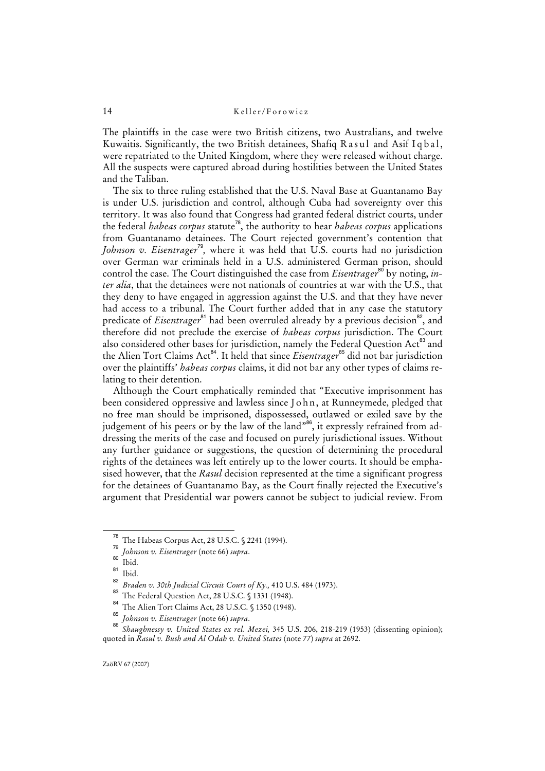The plaintiffs in the case were two British citizens, two Australians, and twelve Kuwaitis. Significantly, the two British detainees, Shafiq Rasul and Asif Iq bal, were repatriated to the United Kingdom, where they were released without charge. All the suspects were captured abroad during hostilities between the United States and the Taliban.

The six to three ruling established that the U.S. Naval Base at Guantanamo Bay is under U.S. jurisdiction and control, although Cuba had sovereignty over this territory. It was also found that Congress had granted federal district courts, under the federal *habeas corpus* statute<sup>78</sup>, the authority to hear *habeas corpus* applications from Guantanamo detainees. The Court rejected government's contention that *Johnson v. Eisentrager*<sup>79</sup>, where it was held that U.S. courts had no jurisdiction over German war criminals held in a U.S. administered German prison, should control the case. The Court distinguished the case from *Eisentrager*<sup>80</sup> by noting, *inter alia*, that the detainees were not nationals of countries at war with the U.S., that they deny to have engaged in aggression against the U.S. and that they have never had access to a tribunal. The Court further added that in any case the statutory predicate of *Eisentrager*<sup>81</sup> had been overruled already by a previous decision<sup>82</sup>, and therefore did not preclude the exercise of *habeas corpus* jurisdiction. The Court also considered other bases for jurisdiction, namely the Federal Question Act<sup>83</sup> and the Alien Tort Claims Act<sup>84</sup>. It held that since *Eisentrager*<sup>85</sup> did not bar jurisdiction over the plaintiffs' *habeas corpus* claims, it did not bar any other types of claims relating to their detention.

Although the Court emphatically reminded that "Executive imprisonment has been considered oppressive and lawless since John, at Runneymede, pledged that no free man should be imprisoned, dispossessed, outlawed or exiled save by the judgement of his peers or by the law of the land"<sup>86</sup>, it expressly refrained from addressing the merits of the case and focused on purely jurisdictional issues. Without any further guidance or suggestions, the question of determining the procedural rights of the detainees was left entirely up to the lower courts. It should be emphasised however, that the *Rasul* decision represented at the time a significant progress for the detainees of Guantanamo Bay, as the Court finally rejected the Executive's argument that Presidential war powers cannot be subject to judicial review. From

The Habeas Corpus Act, 28 U.S.C. § 2241 (1994).

<sup>79</sup> *Johnson v. Eisentrager* (note 66) *supra*.

 $\frac{80}{81}$  Ibid.

Ibid. 82

*Braden v. 30th Judicial Circuit Court of Ky.,* 410 U.S. 484 (1973).

<sup>83</sup> The Federal Question Act, 28 U.S.C. § 1331 (1948).

<sup>84</sup> The Alien Tort Claims Act, 28 U.S.C. § 1350 (1948).

<sup>85</sup> *Johnson v. Eisentrager* (note 66) *supra*. 86

*Shaughnessy v. United States ex rel. Mezei,* 345 U.S. 206, 218-219 (1953) (dissenting opinion); quoted in *Rasul v. Bush and Al Odah v. United States* (note 77) *supra* at 2692.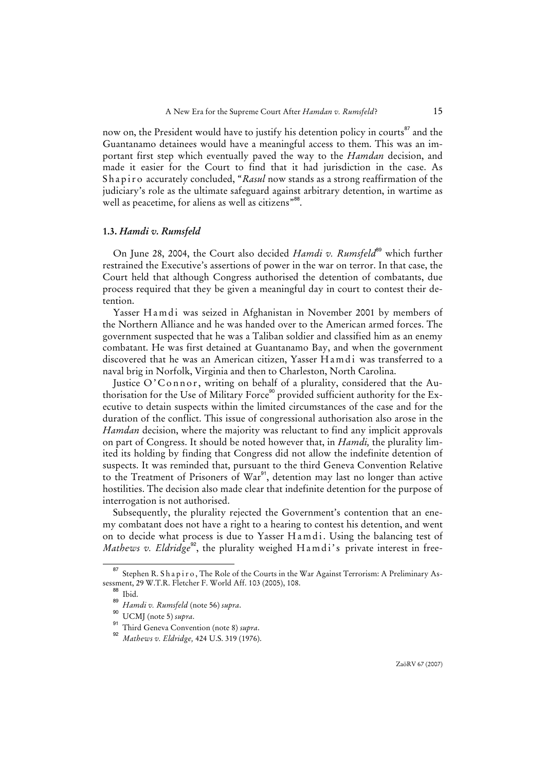now on, the President would have to justify his detention policy in courts<sup>87</sup> and the Guantanamo detainees would have a meaningful access to them. This was an important first step which eventually paved the way to the *Hamdan* decision, and made it easier for the Court to find that it had jurisdiction in the case. As Shapiro accurately concluded, "*Rasul* now stands as a strong reaffirmation of the judiciary's role as the ultimate safeguard against arbitrary detention, in wartime as well as peacetime, for aliens as well as citizens"<sup>88</sup>.

#### **1.3.** *Hamdi v. Rumsfeld*

On June 28, 2004, the Court also decided *Hamdi v. Rumsfeld*<sup>89</sup> which further restrained the Executive's assertions of power in the war on terror. In that case, the Court held that although Congress authorised the detention of combatants, due process required that they be given a meaningful day in court to contest their detention.

Yasser Hamdi was seized in Afghanistan in November 2001 by members of the Northern Alliance and he was handed over to the American armed forces. The government suspected that he was a Taliban soldier and classified him as an enemy combatant. He was first detained at Guantanamo Bay, and when the government discovered that he was an American citizen, Yasser H a m di was transferred to a naval brig in Norfolk, Virginia and then to Charleston, North Carolina.

Justice O'Connor, writing on behalf of a plurality, considered that the Authorisation for the Use of Military Force<sup>90</sup> provided sufficient authority for the Executive to detain suspects within the limited circumstances of the case and for the duration of the conflict. This issue of congressional authorisation also arose in the *Hamdan* decision, where the majority was reluctant to find any implicit approvals on part of Congress. It should be noted however that, in *Hamdi,* the plurality limited its holding by finding that Congress did not allow the indefinite detention of suspects. It was reminded that, pursuant to the third Geneva Convention Relative to the Treatment of Prisoners of War<sup>91</sup>, detention may last no longer than active hostilities. The decision also made clear that indefinite detention for the purpose of interrogation is not authorised.

Subsequently, the plurality rejected the Government's contention that an enemy combatant does not have a right to a hearing to contest his detention, and went on to decide what process is due to Yasser Hamdi. Using the balancing test of *Mathews v. Eldridge<sup>92</sup>*, the plurality weighed Hamdi's private interest in free-

<sup>&</sup>lt;sup>87</sup> Stephen R. Shapiro, The Role of the Courts in the War Against Terrorism: A Preliminary Assessment, 29 W.T.R. Fletcher F. World Aff. 103 (2005), 108.

<sup>88</sup> Ibid.

<sup>89</sup> *Hamdi v. Rumsfeld* (note 56) *supra*.

<sup>90</sup> UCMJ (note 5) *supra*.

<sup>91</sup> Third Geneva Convention (note 8) *supra*.

<sup>92</sup> *Mathews v. Eldridge,* 424 U.S. 319 (1976).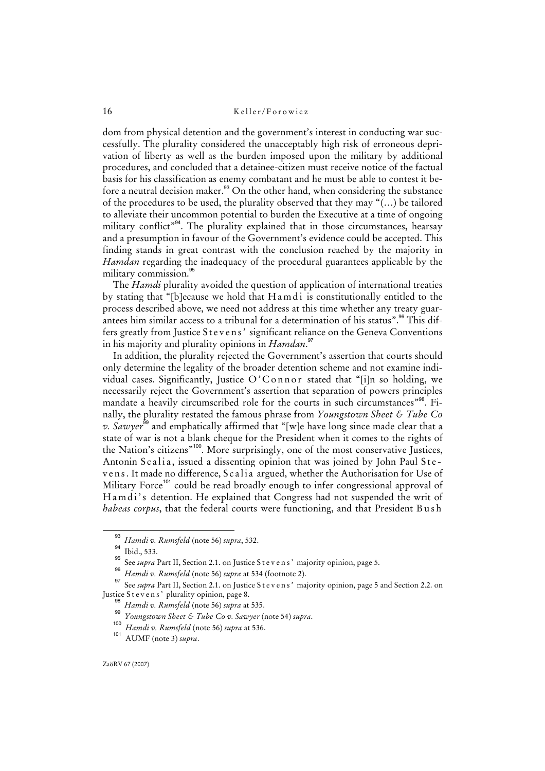dom from physical detention and the government's interest in conducting war successfully. The plurality considered the unacceptably high risk of erroneous deprivation of liberty as well as the burden imposed upon the military by additional procedures, and concluded that a detainee-citizen must receive notice of the factual basis for his classification as enemy combatant and he must be able to contest it before a neutral decision maker.<sup>93</sup> On the other hand, when considering the substance of the procedures to be used, the plurality observed that they may "(…) be tailored to alleviate their uncommon potential to burden the Executive at a time of ongoing military conflict<sup>"94</sup>. The plurality explained that in those circumstances, hearsay and a presumption in favour of the Government's evidence could be accepted. This finding stands in great contrast with the conclusion reached by the majority in *Hamdan* regarding the inadequacy of the procedural guarantees applicable by the military commission.<sup>96</sup>

The *Hamdi* plurality avoided the question of application of international treaties by stating that "[b]ecause we hold that Hamdi is constitutionally entitled to the process described above, we need not address at this time whether any treaty guarantees him similar access to a tribunal for a determination of his status".<sup>96</sup> This differs greatly from Justice Stevens' significant reliance on the Geneva Conventions in his majority and plurality opinions in *Hamdan*. 97

In addition, the plurality rejected the Government's assertion that courts should only determine the legality of the broader detention scheme and not examine individual cases. Significantly, Justice O'Connor stated that "[i]n so holding, we necessarily reject the Government's assertion that separation of powers principles mandate a heavily circumscribed role for the courts in such circumstances<sup>"98</sup>. Finally, the plurality restated the famous phrase from *Youngstown Sheet & Tube Co v. Sawyer*<sup>99</sup> and emphatically affirmed that "[w]e have long since made clear that a state of war is not a blank cheque for the President when it comes to the rights of the Nation's citizens"<sup>100</sup>. More surprisingly, one of the most conservative Justices, Antonin Scalia, issued a dissenting opinion that was joined by John Paul Stevens. It made no difference, Scalia argued, whether the Authorisation for Use of Military Force<sup>101</sup> could be read broadly enough to infer congressional approval of Hamdi's detention. He explained that Congress had not suspended the writ of *habeas corpus*, that the federal courts were functioning, and that President B u s h

<sup>93</sup> *Hamdi v. Rumsfeld* (note 56) *supra*, 532.

 $\frac{94}{95}$  Ibid., 533.

See *supra* Part II, Section 2.1. on Justice S t e v e n s' majority opinion, page 5. 96

*Hamdi v. Rumsfeld* (note 56) *supra* at 534 (footnote 2).

<sup>&</sup>lt;sup>97</sup> See *supra* Part II, Section 2.1. on Justice S t e v e n s' majority opinion, page 5 and Section 2.2. on Justice Stevens' plurality opinion, page 8.

<sup>98</sup> *Hamdi v. Rumsfeld* (note 56) *supra* at 535.

<sup>99</sup> *Youngstown Sheet & Tube Co v. Sawyer* (note 54) *supra*.

<sup>100</sup> *Hamdi v. Rumsfeld* (note 56) *supra* at 536.

<sup>101</sup> AUMF (note 3) *supra*.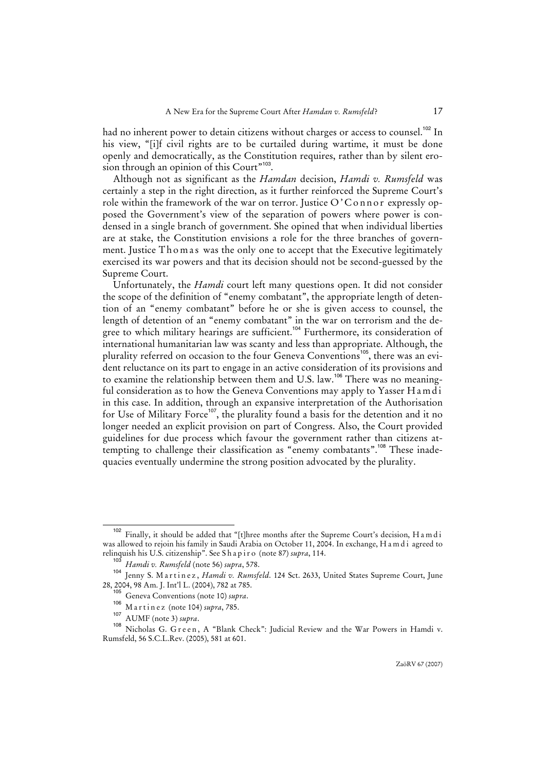had no inherent power to detain citizens without charges or access to counsel.<sup>102</sup> In his view, "[i]f civil rights are to be curtailed during wartime, it must be done openly and democratically, as the Constitution requires, rather than by silent erosion through an opinion of this Court"<sup>103</sup>.

Although not as significant as the *Hamdan* decision, *Hamdi v. Rumsfeld* was certainly a step in the right direction, as it further reinforced the Supreme Court's role within the framework of the war on terror. Justice  $O^{\prime}$ C on n or expressly opposed the Government's view of the separation of powers where power is condensed in a single branch of government. She opined that when individual liberties are at stake, the Constitution envisions a role for the three branches of government. Justice Thomas was the only one to accept that the Executive legitimately exercised its war powers and that its decision should not be second-guessed by the Supreme Court.

Unfortunately, the *Hamdi* court left many questions open. It did not consider the scope of the definition of "enemy combatant", the appropriate length of detention of an "enemy combatant" before he or she is given access to counsel, the length of detention of an "enemy combatant" in the war on terrorism and the degree to which military hearings are sufficient.<sup>104</sup> Furthermore, its consideration of international humanitarian law was scanty and less than appropriate. Although, the plurality referred on occasion to the four Geneva Conventions<sup>105</sup>, there was an evident reluctance on its part to engage in an active consideration of its provisions and to examine the relationship between them and U.S. law.<sup>106</sup> There was no meaningful consideration as to how the Geneva Conventions may apply to Yasser Hamdi in this case. In addition, through an expansive interpretation of the Authorisation for Use of Military Force<sup>107</sup>, the plurality found a basis for the detention and it no longer needed an explicit provision on part of Congress. Also, the Court provided guidelines for due process which favour the government rather than citizens attempting to challenge their classification as "enemy combatants".<sup>108</sup> These inadequacies eventually undermine the strong position advocated by the plurality.

Finally, it should be added that "[t]hree months after the Supreme Court's decision, H a m d i was allowed to rejoin his family in Saudi Arabia on October 11, 2004. In exchange, H a m d i agreed to relinquish his U.S. citizenship". See S h a p i r o (note 87) *supra*, 114.

<sup>103</sup> *Hamdi v. Rumsfeld* (note 56) *supra*, 578.

<sup>104</sup> Jenny S. M a r t i n e z , *Hamdi v. Rumsfeld*. 124 Sct. 2633, United States Supreme Court, June 28, 2004, 98 Am. J. Int'l L. (2004), 782 at 785.

<sup>105</sup> Geneva Conventions (note 10) *supra*.

<sup>106</sup> M a r t i n e z (note 104) *supra*, 785.

<sup>107</sup> AUMF (note 3) *supra*.

<sup>108</sup> Nicholas G. Green, A "Blank Check": Judicial Review and the War Powers in Hamdi v. Rumsfeld, 56 S.C.L.Rev. (2005), 581 at 601.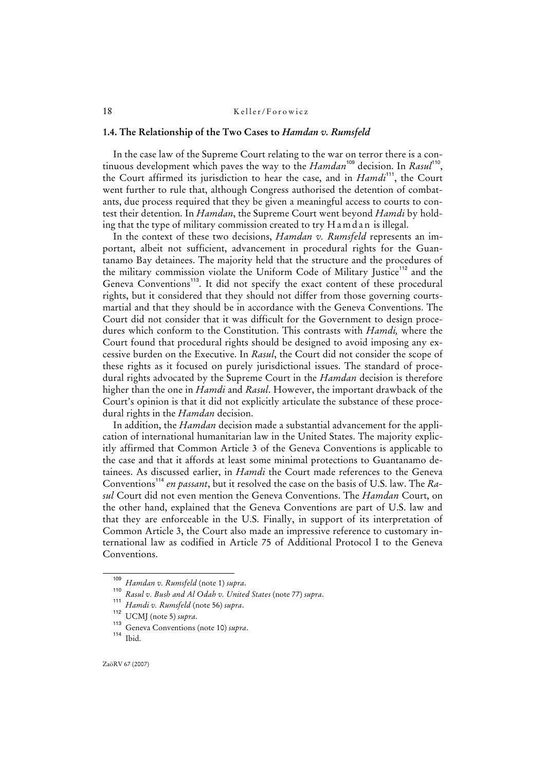#### **1.4. The Relationship of the Two Cases to** *Hamdan v. Rumsfeld*

In the case law of the Supreme Court relating to the war on terror there is a continuous development which paves the way to the *Hamdan*<sup>109</sup> decision. In *Rasul*<sup>110</sup>, the Court affirmed its jurisdiction to hear the case, and in *Hamdi*<sup>111</sup>, the Court went further to rule that, although Congress authorised the detention of combatants, due process required that they be given a meaningful access to courts to contest their detention. In *Hamdan*, the Supreme Court went beyond *Hamdi* by holding that the type of military commission created to try H a m d a n is illegal.

In the context of these two decisions, *Hamdan v. Rumsfeld* represents an important, albeit not sufficient, advancement in procedural rights for the Guantanamo Bay detainees. The majority held that the structure and the procedures of the military commission violate the Uniform Code of Military Justice<sup>112</sup> and the Geneva Conventions<sup>113</sup>. It did not specify the exact content of these procedural rights, but it considered that they should not differ from those governing courtsmartial and that they should be in accordance with the Geneva Conventions. The Court did not consider that it was difficult for the Government to design procedures which conform to the Constitution. This contrasts with *Hamdi,* where the Court found that procedural rights should be designed to avoid imposing any excessive burden on the Executive. In *Rasul*, the Court did not consider the scope of these rights as it focused on purely jurisdictional issues. The standard of procedural rights advocated by the Supreme Court in the *Hamdan* decision is therefore higher than the one in *Hamdi* and *Rasul*. However, the important drawback of the Court's opinion is that it did not explicitly articulate the substance of these procedural rights in the *Hamdan* decision.

In addition, the *Hamdan* decision made a substantial advancement for the application of international humanitarian law in the United States. The majority explicitly affirmed that Common Article 3 of the Geneva Conventions is applicable to the case and that it affords at least some minimal protections to Guantanamo detainees. As discussed earlier, in *Hamdi* the Court made references to the Geneva Conventions<sup>114</sup> en passant, but it resolved the case on the basis of U.S. law. The *Rasul* Court did not even mention the Geneva Conventions. The *Hamdan* Court, on the other hand, explained that the Geneva Conventions are part of U.S. law and that they are enforceable in the U.S. Finally, in support of its interpretation of Common Article 3, the Court also made an impressive reference to customary international law as codified in Article 75 of Additional Protocol I to the Geneva Conventions.

<sup>109</sup> *Hamdan v. Rumsfeld* (note 1) *supra*.

<sup>110</sup> *Rasul v. Bush and Al Odah v. United States* (note 77) *supra*. 111

*Hamdi v. Rumsfeld* (note 56) *supra*.

<sup>112</sup> UCMJ (note 5) *supra*.

<sup>113</sup> Geneva Conventions (note 10) *supra*.

<sup>114</sup> Ibid.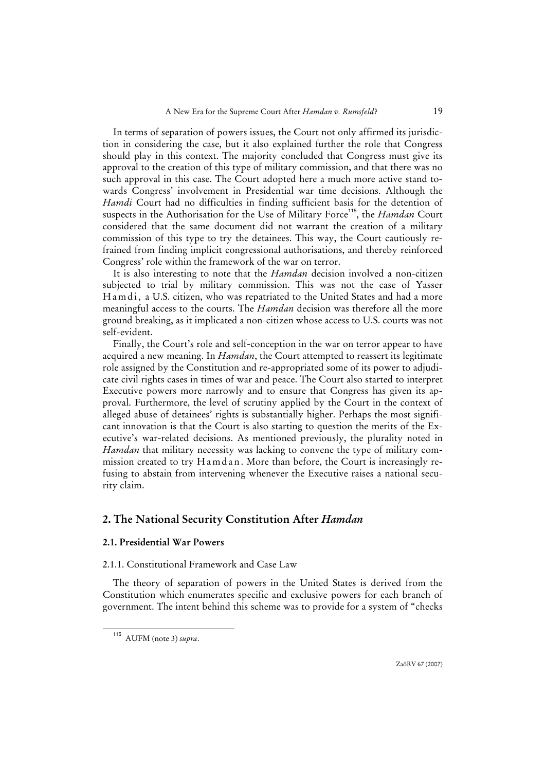In terms of separation of powers issues, the Court not only affirmed its jurisdiction in considering the case, but it also explained further the role that Congress should play in this context. The majority concluded that Congress must give its approval to the creation of this type of military commission, and that there was no such approval in this case. The Court adopted here a much more active stand towards Congress' involvement in Presidential war time decisions. Although the *Hamdi* Court had no difficulties in finding sufficient basis for the detention of suspects in the Authorisation for the Use of Military Force<sup>115</sup>, the *Hamdan* Court considered that the same document did not warrant the creation of a military commission of this type to try the detainees. This way, the Court cautiously refrained from finding implicit congressional authorisations, and thereby reinforced Congress' role within the framework of the war on terror.

It is also interesting to note that the *Hamdan* decision involved a non-citizen subjected to trial by military commission. This was not the case of Yasser Hamdi, a U.S. citizen, who was repatriated to the United States and had a more meaningful access to the courts. The *Hamdan* decision was therefore all the more ground breaking, as it implicated a non-citizen whose access to U.S. courts was not self-evident.

Finally, the Court's role and self-conception in the war on terror appear to have acquired a new meaning. In *Hamdan*, the Court attempted to reassert its legitimate role assigned by the Constitution and re-appropriated some of its power to adjudicate civil rights cases in times of war and peace. The Court also started to interpret Executive powers more narrowly and to ensure that Congress has given its approval. Furthermore, the level of scrutiny applied by the Court in the context of alleged abuse of detainees' rights is substantially higher. Perhaps the most significant innovation is that the Court is also starting to question the merits of the Executive's war-related decisions. As mentioned previously, the plurality noted in *Hamdan* that military necessity was lacking to convene the type of military commission created to try  $H$  a m d a n. More than before, the Court is increasingly refusing to abstain from intervening whenever the Executive raises a national security claim.

## **2. The National Security Constitution After** *Hamdan*

## **2.1. Presidential War Powers**

#### 2.1.1. Constitutional Framework and Case Law

The theory of separation of powers in the United States is derived from the Constitution which enumerates specific and exclusive powers for each branch of government. The intent behind this scheme was to provide for a system of "checks

<sup>115</sup> AUFM (note 3) *supra*.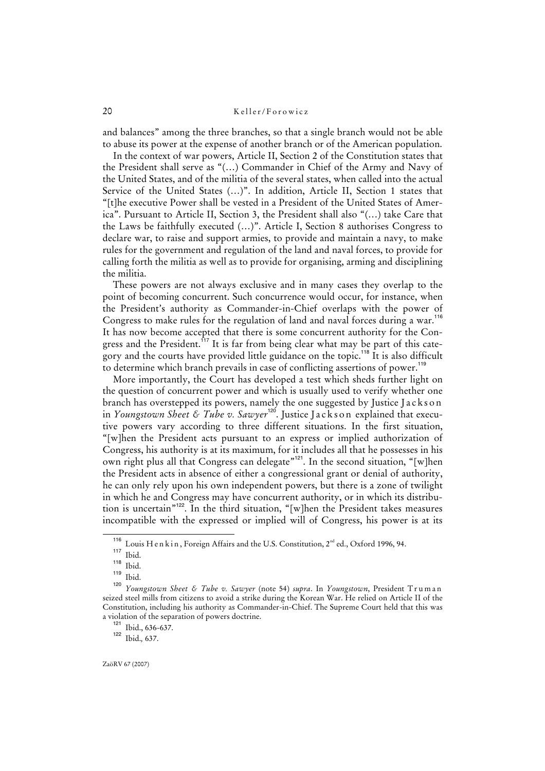and balances" among the three branches, so that a single branch would not be able to abuse its power at the expense of another branch or of the American population.

In the context of war powers, Article II, Section 2 of the Constitution states that the President shall serve as "(…) Commander in Chief of the Army and Navy of the United States, and of the militia of the several states, when called into the actual Service of the United States (…)". In addition, Article II, Section 1 states that "[t]he executive Power shall be vested in a President of the United States of America". Pursuant to Article II, Section 3, the President shall also "(…) take Care that the Laws be faithfully executed (…)". Article I, Section 8 authorises Congress to declare war, to raise and support armies, to provide and maintain a navy, to make rules for the government and regulation of the land and naval forces, to provide for calling forth the militia as well as to provide for organising, arming and disciplining the militia.

These powers are not always exclusive and in many cases they overlap to the point of becoming concurrent. Such concurrence would occur, for instance, when the President's authority as Commander-in-Chief overlaps with the power of Congress to make rules for the regulation of land and naval forces during a war.<sup>116</sup> It has now become accepted that there is some concurrent authority for the Congress and the President.<sup>117</sup> It is far from being clear what may be part of this category and the courts have provided little guidance on the topic.<sup>118</sup> It is also difficult to determine which branch prevails in case of conflicting assertions of power.<sup>119</sup>

More importantly, the Court has developed a test which sheds further light on the question of concurrent power and which is usually used to verify whether one branch has overstepped its powers, namely the one suggested by Justice Jackson in *Youngstown Sheet & Tube v. Sawyer*<sup>126</sup>. Justice Jackson explained that executive powers vary according to three different situations. In the first situation, "[w]hen the President acts pursuant to an express or implied authorization of Congress, his authority is at its maximum, for it includes all that he possesses in his own right plus all that Congress can delegate"<sup>121</sup>. In the second situation, "[w]hen the President acts in absence of either a congressional grant or denial of authority, he can only rely upon his own independent powers, but there is a zone of twilight in which he and Congress may have concurrent authority, or in which its distribution is uncertain"<sup>122</sup>. In the third situation, "[w]hen the President takes measures incompatible with the expressed or implied will of Congress, his power is at its

<sup>121</sup> Ibid., 636-637.

<sup>&</sup>lt;sup>116</sup> Louis H e n k i n, Foreign Affairs and the U.S. Constitution,  $2^{nd}$  ed., Oxford 1996, 94.

 $\frac{117}{118}$  Ibid.

 $\frac{118}{119}$  Ibid.

Ibid.

<sup>120</sup> *Youngstown Sheet & Tube v. Sawyer* (note 54) *supra*. In *Youngstown*, President T r u m a n seized steel mills from citizens to avoid a strike during the Korean War. He relied on Article II of the Constitution, including his authority as Commander-in-Chief. The Supreme Court held that this was a violation of the separation of powers doctrine.

<sup>122</sup> Ibid.*,* 637.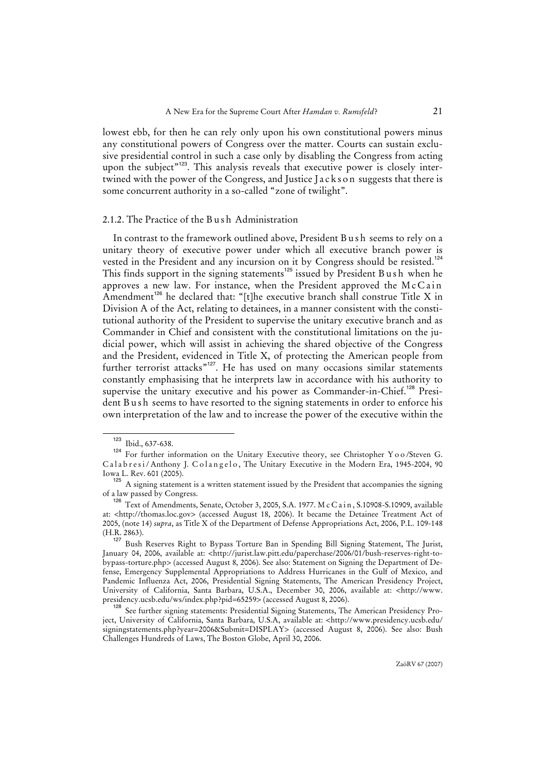lowest ebb, for then he can rely only upon his own constitutional powers minus any constitutional powers of Congress over the matter. Courts can sustain exclusive presidential control in such a case only by disabling the Congress from acting upon the subject"<sup>123</sup>. This analysis reveals that executive power is closely intertwined with the power of the Congress, and Justice Jackson suggests that there is some concurrent authority in a so-called "zone of twilight".

#### 2.1.2. The Practice of the B u s h Administration

In contrast to the framework outlined above, President Bush seems to rely on a unitary theory of executive power under which all executive branch power is vested in the President and any incursion on it by Congress should be resisted.<sup>124</sup> This finds support in the signing statements<sup>125</sup> issued by President B u s h when he approves a new law. For instance, when the President approved the  $McCain$ Amendment<sup>126</sup> he declared that: "[t]he executive branch shall construe Title X in Division A of the Act, relating to detainees, in a manner consistent with the constitutional authority of the President to supervise the unitary executive branch and as Commander in Chief and consistent with the constitutional limitations on the judicial power, which will assist in achieving the shared objective of the Congress and the President, evidenced in Title X, of protecting the American people from further terrorist attacks<sup>"127</sup>. He has used on many occasions similar statements constantly emphasising that he interprets law in accordance with his authority to supervise the unitary executive and his power as Commander-in-Chief.<sup>128</sup> President B u s h seems to have resorted to the signing statements in order to enforce his own interpretation of the law and to increase the power of the executive within the

 $\frac{123}{123}$  Ibid., 637-638.

<sup>124</sup> For further information on the Unitary Executive theory, see Christopher Y o o /Steven G. Calabresi/Anthony J. Colangelo, The Unitary Executive in the Modern Era, 1945-2004, 90 Iowa L. Rev. 601 (2005).

<sup>&</sup>lt;sup>125</sup> A signing statement is a written statement issued by the President that accompanies the signing of a law passed by Congress.

<sup>126</sup> Text of Amendments, Senate, October 3, 2005, S.A. 1977. M c C a i n , S.10908-S.10909, available at: <http://thomas.loc.gov> (accessed August 18, 2006). It became the Detainee Treatment Act of 2005, (note 14) *supra*, as Title X of the Department of Defense Appropriations Act, 2006, P.L. 109-148 (H.R. 2863).

<sup>127</sup> Bush Reserves Right to Bypass Torture Ban in Spending Bill Signing Statement, The Jurist, January 04, 2006, available at: <http://jurist.law.pitt.edu/paperchase/2006/01/bush-reserves-right-tobypass-torture.php> (accessed August 8, 2006). See also: Statement on Signing the Department of Defense, Emergency Supplemental Appropriations to Address Hurricanes in the Gulf of Mexico, and Pandemic Influenza Act, 2006, Presidential Signing Statements, The American Presidency Project, University of California, Santa Barbara, U.S.A., December 30, 2006, available at: <http://www. presidency.ucsb.edu/ws/index.php?pid=65259> (accessed August 8, 2006).

<sup>128</sup> See further signing statements: Presidential Signing Statements, The American Presidency Project, University of California, Santa Barbara, U.S.A, available at: <http://www.presidency.ucsb.edu/ signingstatements.php?year=2006&Submit=DISPLAY> (accessed August 8, 2006). See also: Bush Challenges Hundreds of Laws, The Boston Globe, April 30, 2006.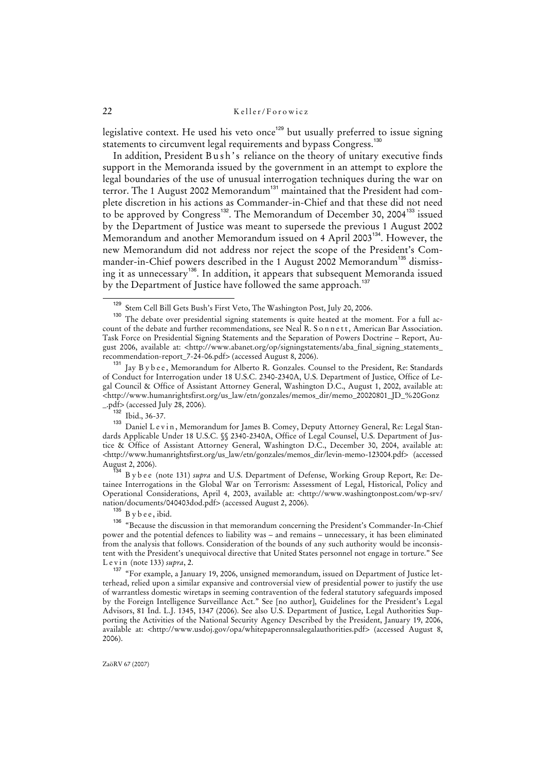legislative context. He used his veto once<sup>129</sup> but usually preferred to issue signing statements to circumvent legal requirements and bypass Congress.<sup>130</sup>

In addition, President B u s h's reliance on the theory of unitary executive finds support in the Memoranda issued by the government in an attempt to explore the legal boundaries of the use of unusual interrogation techniques during the war on terror. The 1 August 2002 Memorandum<sup>131</sup> maintained that the President had complete discretion in his actions as Commander-in-Chief and that these did not need to be approved by Congress<sup>132</sup>. The Memorandum of December 30, 2004<sup>133</sup> issued by the Department of Justice was meant to supersede the previous 1 August 2002 Memorandum and another Memorandum issued on 4 April 2003<sup>134</sup>. However, the new Memorandum did not address nor reject the scope of the President's Commander-in-Chief powers described in the 1 August 2002 Memorandum<sup>135</sup> dismissing it as unnecessary<sup>136</sup>. In addition, it appears that subsequent Memoranda issued by the Department of Justice have followed the same approach.<sup>137</sup>

 $\frac{132}{133}$  Ibid., 36-37.

<sup>4</sup> B y b e e (note 131) *supra* and U.S. Department of Defense, Working Group Report, Re: Detainee Interrogations in the Global War on Terrorism: Assessment of Legal, Historical, Policy and Operational Considerations, April 4, 2003, available at: <http://www.washingtonpost.com/wp-srv/ nation/documents/040403dod.pdf> (accessed August 2, 2006).

 $^{135}$  B y b e e , ibid.

ZaöRV 67 (2007)

<sup>&</sup>lt;sup>129</sup> Stem Cell Bill Gets Bush's First Veto, The Washington Post, July 20, 2006.

The debate over presidential signing statements is quite heated at the moment. For a full account of the debate and further recommendations, see Neal R. S o n n e t t , American Bar Association. Task Force on Presidential Signing Statements and the Separation of Powers Doctrine – Report, August 2006, available at: <http://www.abanet.org/op/signingstatements/aba\_final\_signing\_statements\_ recommendation-report\_7-24-06.pdf> (accessed August 8, 2006).

<sup>131</sup> Jay B y b e e , Memorandum for Alberto R. Gonzales. Counsel to the President, Re: Standards of Conduct for Interrogation under 18 U.S.C. 2340-2340A, U.S. Department of Justice, Office of Legal Council & Office of Assistant Attorney General, Washington D.C., August 1, 2002, available at: <http://www.humanrightsfirst.org/us\_law/etn/gonzales/memos\_dir/memo\_20020801\_JD\_%20Gonz \_.pdf> (accessed July 28, 2006).

Daniel L e v i n, Memorandum for James B. Comey, Deputy Attorney General, Re: Legal Standards Applicable Under 18 U.S.C. §§ 2340-2340A, Office of Legal Counsel, U.S. Department of Justice & Office of Assistant Attorney General, Washington D.C., December 30, 2004, available at: <http://www.humanrightsfirst.org/us\_law/etn/gonzales/memos\_dir/levin-memo-123004.pdf> (accessed August 2, 2006).

<sup>&</sup>lt;sup>136</sup> "Because the discussion in that memorandum concerning the President's Commander-In-Chief power and the potential defences to liability was – and remains – unnecessary, it has been eliminated from the analysis that follows. Consideration of the bounds of any such authority would be inconsistent with the President's unequivocal directive that United States personnel not engage in torture." See L e v i n (note 133) *supra*, 2.

<sup>&</sup>lt;sup>137</sup> "For example, a January 19, 2006, unsigned memorandum, issued on Department of Justice letterhead, relied upon a similar expansive and controversial view of presidential power to justify the use of warrantless domestic wiretaps in seeming contravention of the federal statutory safeguards imposed by the Foreign Intelligence Surveillance Act." See [no author], Guidelines for the President's Legal Advisors, 81 Ind. L.J. 1345, 1347 (2006). See also U.S. Department of Justice, Legal Authorities Supporting the Activities of the National Security Agency Described by the President, January 19, 2006, available at: <http://www.usdoj.gov/opa/whitepaperonnsalegalauthorities.pdf> (accessed August 8, 2006).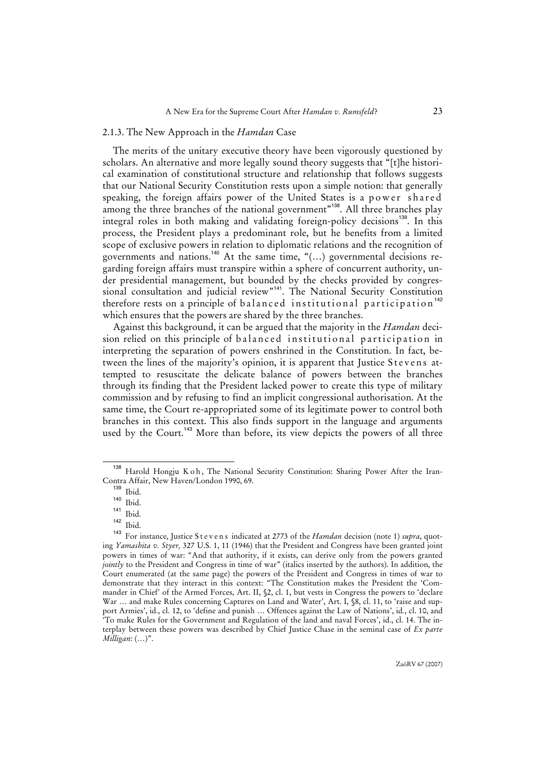#### 2.1.3. The New Approach in the *Hamdan* Case

The merits of the unitary executive theory have been vigorously questioned by scholars. An alternative and more legally sound theory suggests that "[t]he historical examination of constitutional structure and relationship that follows suggests that our National Security Constitution rests upon a simple notion: that generally speaking, the foreign affairs power of the United States is a power shared among the three branches of the national government"<sup>138</sup>. All three branches play integral roles in both making and validating foreign-policy decisions<sup>139</sup>. In this process, the President plays a predominant role, but he benefits from a limited scope of exclusive powers in relation to diplomatic relations and the recognition of governments and nations.<sup>140</sup> At the same time, "(…) governmental decisions regarding foreign affairs must transpire within a sphere of concurrent authority, under presidential management, but bounded by the checks provided by congressional consultation and judicial review"<sup>141</sup>. The National Security Constitution therefore rests on a principle of balanced institutional participation<sup>142</sup> which ensures that the powers are shared by the three branches.

Against this background, it can be argued that the majority in the *Hamdan* decision relied on this principle of balanced institutional participation in interpreting the separation of powers enshrined in the Constitution. In fact, between the lines of the majority's opinion, it is apparent that Justice Stevens attempted to resuscitate the delicate balance of powers between the branches through its finding that the President lacked power to create this type of military commission and by refusing to find an implicit congressional authorisation. At the same time, the Court re-appropriated some of its legitimate power to control both branches in this context. This also finds support in the language and arguments used by the Court.<sup>143</sup> More than before, its view depicts the powers of all three

Harold Hongju K o h, The National Security Constitution: Sharing Power After the Iran-Contra Affair, New Haven/London 1990, 69.

 $\frac{139}{140}$  Ibid.

 $\frac{140}{141}$  Ibid.

 $\frac{141}{142}$  Ibid.

 $\frac{142}{143}$  Ibid.

<sup>143</sup> For instance, Justice S t e v e n s indicated at 2773 of the *Hamdan* decision (note 1) *supra*, quoting *Yamashita v. Styer,* 327 U.S. 1, 11 (1946) that the President and Congress have been granted joint powers in times of war: "And that authority, if it exists, can derive only from the powers granted *jointly* to the President and Congress in time of war" (italics inserted by the authors). In addition, the Court enumerated (at the same page) the powers of the President and Congress in times of war to demonstrate that they interact in this context: "The Constitution makes the President the 'Commander in Chief' of the Armed Forces, Art. II, §2, cl. 1, but vests in Congress the powers to 'declare War ... and make Rules concerning Captures on Land and Water', Art. I, §8, cl. 11, to 'raise and support Armies', id., cl. 12, to 'define and punish … Offences against the Law of Nations', id*.*, cl. 10, and 'To make Rules for the Government and Regulation of the land and naval Forces', id., cl. 14. The interplay between these powers was described by Chief Justice Chase in the seminal case of *Ex parte Milligan*: (…)".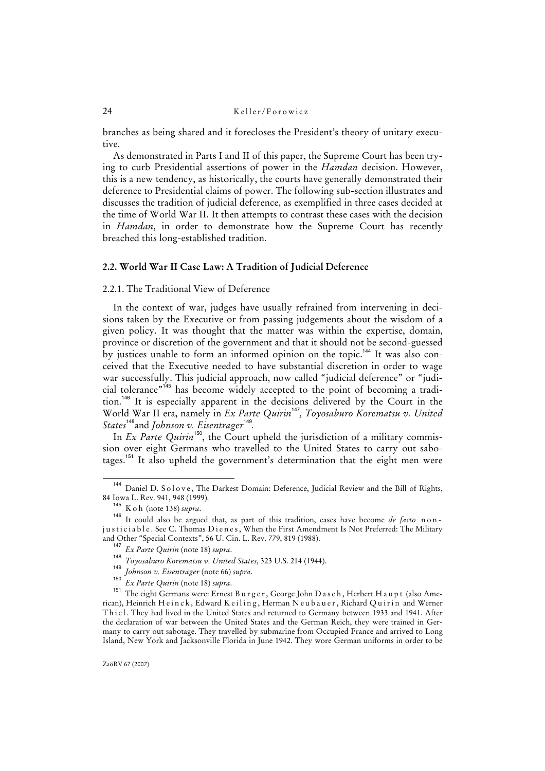branches as being shared and it forecloses the President's theory of unitary executive.

As demonstrated in Parts I and II of this paper, the Supreme Court has been trying to curb Presidential assertions of power in the *Hamdan* decision. However, this is a new tendency, as historically, the courts have generally demonstrated their deference to Presidential claims of power. The following sub-section illustrates and discusses the tradition of judicial deference, as exemplified in three cases decided at the time of World War II. It then attempts to contrast these cases with the decision in *Hamdan*, in order to demonstrate how the Supreme Court has recently breached this long-established tradition.

#### **2.2. World War II Case Law: A Tradition of Judicial Deference**

#### 2.2.1. The Traditional View of Deference

In the context of war, judges have usually refrained from intervening in decisions taken by the Executive or from passing judgements about the wisdom of a given policy. It was thought that the matter was within the expertise, domain, province or discretion of the government and that it should not be second-guessed by justices unable to form an informed opinion on the topic.<sup>144</sup> It was also conceived that the Executive needed to have substantial discretion in order to wage war successfully. This judicial approach, now called "judicial deference" or "judicial tolerance"<sup>145</sup> has become widely accepted to the point of becoming a tradition.<sup>146</sup> It is especially apparent in the decisions delivered by the Court in the World War II era, namely in *Ex Parte Quirin*<sup>147</sup>*, Toyosaburo Korematsu v. United States*<sup>148</sup>and *Johnson v. Eisentrager*<sup>149</sup> *.*

In *Ex Parte Quirin*<sup>150</sup>, the Court upheld the jurisdiction of a military commission over eight Germans who travelled to the United States to carry out sabotages.<sup>151</sup> It also upheld the government's determination that the eight men were

<sup>&</sup>lt;sup>144</sup> Daniel D. Solove, The Darkest Domain: Deference, Judicial Review and the Bill of Rights, 84 Iowa L. Rev. 941, 948 (1999).

<sup>145</sup> K o h (note 138) *supra*.

<sup>146</sup> It could also be argued that, as part of this tradition, cases have become *de facto* nonjusticiable. See C. Thomas Dienes, When the First Amendment Is Not Preferred: The Military and Other "Special Contexts", 56 U. Cin. L. Rev. 779, 819 (1988).

<sup>147</sup> *Ex Parte Quirin* (note 18) *supra*.

<sup>148</sup> *Toyosaburo Korematsu v. United States*, 323 U.S. 214 (1944).

<sup>149</sup> *Johnson v. Eisentrager* (note 66) *supra*. 150

*Ex Parte Quirin* (note 18) *supra*.

<sup>&</sup>lt;sup>151</sup> The eight Germans were: Ernest Burger, George John Dasch, Herbert Haupt (also American), Heinrich H e in c k, Edward K e iling, Herman N e u b a u e r, Richard Quirin and Werner Thiel. They had lived in the United States and returned to Germany between 1933 and 1941. After the declaration of war between the United States and the German Reich, they were trained in Germany to carry out sabotage. They travelled by submarine from Occupied France and arrived to Long Island, New York and Jacksonville Florida in June 1942. They wore German uniforms in order to be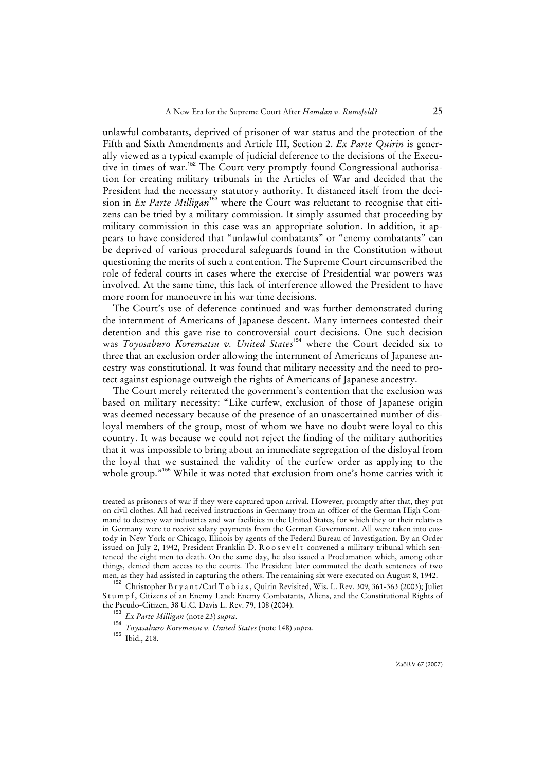unlawful combatants, deprived of prisoner of war status and the protection of the Fifth and Sixth Amendments and Article III, Section 2. *Ex Parte Quirin* is generally viewed as a typical example of judicial deference to the decisions of the Executive in times of war.<sup>152</sup> The Court very promptly found Congressional authorisation for creating military tribunals in the Articles of War and decided that the President had the necessary statutory authority. It distanced itself from the decision in *Ex Parte Milligan*<sup>153</sup> where the Court was reluctant to recognise that citizens can be tried by a military commission. It simply assumed that proceeding by military commission in this case was an appropriate solution. In addition, it appears to have considered that "unlawful combatants" or "enemy combatants" can be deprived of various procedural safeguards found in the Constitution without questioning the merits of such a contention. The Supreme Court circumscribed the role of federal courts in cases where the exercise of Presidential war powers was involved. At the same time, this lack of interference allowed the President to have more room for manoeuvre in his war time decisions.

The Court's use of deference continued and was further demonstrated during the internment of Americans of Japanese descent. Many internees contested their detention and this gave rise to controversial court decisions. One such decision was *Toyosaburo Korematsu v. United States*<sup>154</sup> where the Court decided six to three that an exclusion order allowing the internment of Americans of Japanese ancestry was constitutional. It was found that military necessity and the need to protect against espionage outweigh the rights of Americans of Japanese ancestry.

The Court merely reiterated the government's contention that the exclusion was based on military necessity: "Like curfew, exclusion of those of Japanese origin was deemed necessary because of the presence of an unascertained number of disloyal members of the group, most of whom we have no doubt were loyal to this country. It was because we could not reject the finding of the military authorities that it was impossible to bring about an immediate segregation of the disloyal from the loyal that we sustained the validity of the curfew order as applying to the whole group."<sup>155</sup> While it was noted that exclusion from one's home carries with it

l

treated as prisoners of war if they were captured upon arrival. However, promptly after that, they put on civil clothes. All had received instructions in Germany from an officer of the German High Command to destroy war industries and war facilities in the United States, for which they or their relatives in Germany were to receive salary payments from the German Government. All were taken into custody in New York or Chicago, Illinois by agents of the Federal Bureau of Investigation. By an Order issued on July 2, 1942, President Franklin D. R o o s e v el t convened a military tribunal which sentenced the eight men to death. On the same day, he also issued a Proclamation which, among other things, denied them access to the courts. The President later commuted the death sentences of two men, as they had assisted in capturing the others. The remaining six were executed on August 8, 1942.

<sup>152</sup> Christopher B r y a n t /Carl T o b i a s , Quirin Revisited, Wis. L. Rev. 309, 361-363 (2003); Juliet Stumpf, Citizens of an Enemy Land: Enemy Combatants, Aliens, and the Constitutional Rights of the Pseudo-Citizen, 38 U.C. Davis L. Rev. 79, 108 (2004).

<sup>153</sup> *Ex Parte Milligan* (note 23) *supra*.

<sup>154</sup> *Toyasaburo Korematsu v. United States* (note 148) *supra*.

<sup>&</sup>lt;sup>155</sup> Ibid., 218.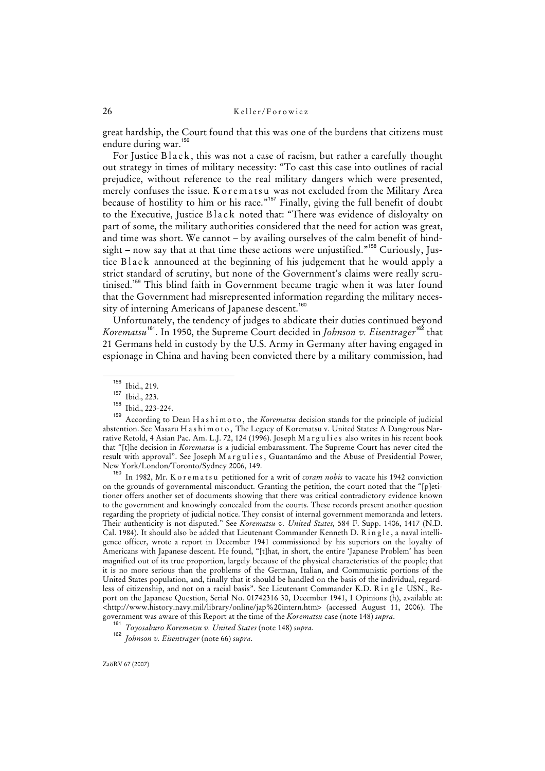great hardship, the Court found that this was one of the burdens that citizens must endure during war.<sup>156</sup>

For Justice Black, this was not a case of racism, but rather a carefully thought out strategy in times of military necessity: "To cast this case into outlines of racial prejudice, without reference to the real military dangers which were presented, merely confuses the issue. K o r e m a t s u was not excluded from the Military Area because of hostility to him or his race."<sup>157</sup> Finally, giving the full benefit of doubt to the Executive, Justice Black noted that: "There was evidence of disloyalty on part of some, the military authorities considered that the need for action was great, and time was short. We cannot – by availing ourselves of the calm benefit of hindsight – now say that at that time these actions were unjustified."<sup>158</sup> Curiously, Justice Black announced at the beginning of his judgement that he would apply a strict standard of scrutiny, but none of the Government's claims were really scrutinised.<sup>159</sup> This blind faith in Government became tragic when it was later found that the Government had misrepresented information regarding the military necessity of interning Americans of Japanese descent.<sup>160</sup>

Unfortunately, the tendency of judges to abdicate their duties continued beyond *Korematsu*<sup>161</sup>. In 1950, the Supreme Court decided in *Johnson v. Eisentrager*<sup>162</sup> that 21 Germans held in custody by the U.S. Army in Germany after having engaged in espionage in China and having been convicted there by a military commission, had

In 1982, Mr. K o r e m a t s u petitioned for a writ of *coram nobis* to vacate his 1942 conviction on the grounds of governmental misconduct. Granting the petition, the court noted that the "[p]etitioner offers another set of documents showing that there was critical contradictory evidence known to the government and knowingly concealed from the courts. These records present another question regarding the propriety of judicial notice. They consist of internal government memoranda and letters. Their authenticity is not disputed." See *Korematsu v. United States,* 584 F. Supp. 1406, 1417 (N.D. Cal. 1984). It should also be added that Lieutenant Commander Kenneth D. Ringle, a naval intelligence officer, wrote a report in December 1941 commissioned by his superiors on the loyalty of Americans with Japanese descent. He found, "[t]hat, in short, the entire 'Japanese Problem' has been magnified out of its true proportion, largely because of the physical characteristics of the people; that it is no more serious than the problems of the German, Italian, and Communistic portions of the United States population, and, finally that it should be handled on the basis of the individual, regardless of citizenship, and not on a racial basis". See Lieutenant Commander K.D. Ringle USN., Report on the Japanese Question, Serial No. 01742316 30, December 1941, I Opinions (h), available at: <http://www.history.navy.mil/library/online/jap%20intern.htm> (accessed August 11, 2006). The government was aware of this Report at the time of the *Korematsu* case (note 148) *supra*.

<sup>156</sup> Ibid., 219.

 $\frac{157}{158}$  Ibid., 223.

 $\frac{158}{159}$  Ibid., 223-224.

<sup>159</sup> According to Dean H a s h i m o t o , the *Korematsu* decision stands for the principle of judicial abstention. See Masaru H a s h i m o t o, The Legacy of Korematsu v. United States: A Dangerous Narrative Retold, 4 Asian Pac. Am. L.J. 72, 124 (1996). Joseph Margulies also writes in his recent book that "[t]he decision in *Korematsu* is a judicial embarassment. The Supreme Court has never cited the result with approval". See Joseph Margulies, Guantanámo and the Abuse of Presidential Power, New York/London/Toronto/Sydney 2006, 149.

<sup>161</sup> *Toyosaburo Korematsu v. United States* (note 148) *supra*.

<sup>162</sup> *Johnson v. Eisentrager* (note 66) *supra*.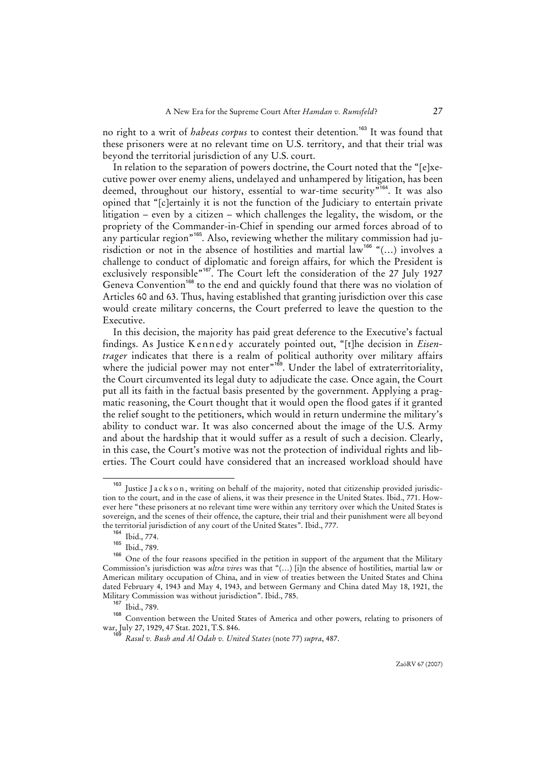no right to a writ of *habeas corpus* to contest their detention.<sup>163</sup> It was found that these prisoners were at no relevant time on U.S. territory, and that their trial was beyond the territorial jurisdiction of any U.S. court.

In relation to the separation of powers doctrine, the Court noted that the "[e]xecutive power over enemy aliens, undelayed and unhampered by litigation, has been deemed, throughout our history, essential to war-time security<sup>"164</sup>. It was also opined that "[c]ertainly it is not the function of the Judiciary to entertain private litigation – even by a citizen – which challenges the legality, the wisdom, or the propriety of the Commander-in-Chief in spending our armed forces abroad of to any particular region<sup>"165</sup>. Also, reviewing whether the military commission had jurisdiction or not in the absence of hostilities and martial law<sup>166</sup> "(...) involves a challenge to conduct of diplomatic and foreign affairs, for which the President is exclusively responsible"<sup>167</sup>. The Court left the consideration of the 27 July 1927 Geneva Convention<sup>168</sup> to the end and quickly found that there was no violation of Articles 60 and 63. Thus, having established that granting jurisdiction over this case would create military concerns, the Court preferred to leave the question to the Executive.

In this decision, the majority has paid great deference to the Executive's factual findings. As Justice Kennedy accurately pointed out, "[t]he decision in *Eisentrager* indicates that there is a realm of political authority over military affairs where the judicial power may not enter"<sup>169</sup>. Under the label of extraterritoriality, the Court circumvented its legal duty to adjudicate the case. Once again, the Court put all its faith in the factual basis presented by the government. Applying a pragmatic reasoning, the Court thought that it would open the flood gates if it granted the relief sought to the petitioners, which would in return undermine the military's ability to conduct war. It was also concerned about the image of the U.S. Army and about the hardship that it would suffer as a result of such a decision. Clearly, in this case, the Court's motive was not the protection of individual rights and liberties. The Court could have considered that an increased workload should have

<sup>&</sup>lt;sup>163</sup> Iustice Jackson, writing on behalf of the majority, noted that citizenship provided jurisdiction to the court, and in the case of aliens, it was their presence in the United States. Ibid., 771. However here "these prisoners at no relevant time were within any territory over which the United States is sovereign, and the scenes of their offence, the capture, their trial and their punishment were all beyond the territorial jurisdiction of any court of the United States". Ibid., 777.

<sup>164</sup> Ibid., 774.

 $\frac{165}{166}$  Ibid., 789.

One of the four reasons specified in the petition in support of the argument that the Military Commission's jurisdiction was *ultra vires* was that "(…) [i]n the absence of hostilities, martial law or American military occupation of China, and in view of treaties between the United States and China dated February 4, 1943 and May 4, 1943, and between Germany and China dated May 18, 1921, the Military Commission was without jurisdiction". Ibid., 785.

<sup>167</sup> Ibid., 789.

<sup>168</sup> Convention between the United States of America and other powers, relating to prisoners of war, July 27, 1929, 47 Stat. 2021, T.S. 846.

*Rasul v. Bush and Al Odah v. United States* (note 77) *supra*, 487.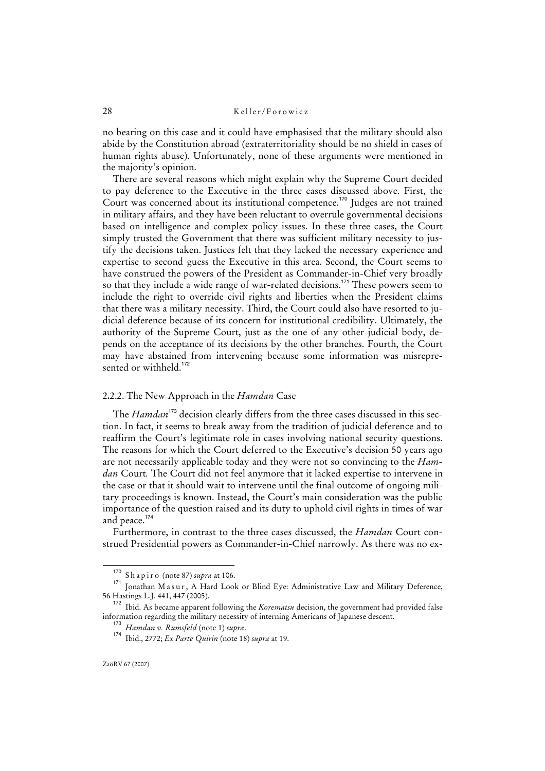no bearing on this case and it could have emphasised that the military should also abide by the Constitution abroad (extraterritoriality should be no shield in cases of human rights abuse). Unfortunately, none of these arguments were mentioned in the majority's opinion.

There are several reasons which might explain why the Supreme Court decided to pay deference to the Executive in the three cases discussed above. First, the Court was concerned about its institutional competence.<sup>170</sup> Judges are not trained in military affairs, and they have been reluctant to overrule governmental decisions based on intelligence and complex policy issues. In these three cases, the Court simply trusted the Government that there was sufficient military necessity to justify the decisions taken. Justices felt that they lacked the necessary experience and expertise to second guess the Executive in this area. Second, the Court seems to have construed the powers of the President as Commander-in-Chief very broadly so that they include a wide range of war-related decisions.<sup>171</sup> These powers seem to include the right to override civil rights and liberties when the President claims that there was a military necessity. Third, the Court could also have resorted to judicial deference because of its concern for institutional credibility. Ultimately, the authority of the Supreme Court, just as the one of any other judicial body, depends on the acceptance of its decisions by the other branches. Fourth, the Court may have abstained from intervening because some information was misrepresented or withheld.<sup>172</sup>

## 2**.**2.2. The New Approach in the *Hamdan* Case

The *Hamdan*<sup>173</sup> decision clearly differs from the three cases discussed in this section. In fact, it seems to break away from the tradition of judicial deference and to reaffirm the Court's legitimate role in cases involving national security questions. The reasons for which the Court deferred to the Executive's decision 50 years ago are not necessarily applicable today and they were not so convincing to the *Hamdan* Court*.* The Court did not feel anymore that it lacked expertise to intervene in the case or that it should wait to intervene until the final outcome of ongoing military proceedings is known. Instead, the Court's main consideration was the public importance of the question raised and its duty to uphold civil rights in times of war and peace.<sup>17</sup>

Furthermore, in contrast to the three cases discussed, the *Hamdan* Court construed Presidential powers as Commander-in-Chief narrowly. As there was no ex-

<sup>170</sup> S h a p i r o (note 87) *supra* at 106.

<sup>171</sup> Jonathan Masur, A Hard Look or Blind Eye: Administrative Law and Military Deference, 56 Hastings L.J. 441, 447 (2005).

<sup>172</sup> Ibid. As became apparent following the *Korematsu* decision, the government had provided false information regarding the military necessity of interning Americans of Japanese descent.

<sup>173</sup> *Hamdan v. Rumsfeld* (note 1) *supra*.

<sup>174</sup> Ibid., 2772; *Ex Parte Quirin* (note 18) *supra* at 19.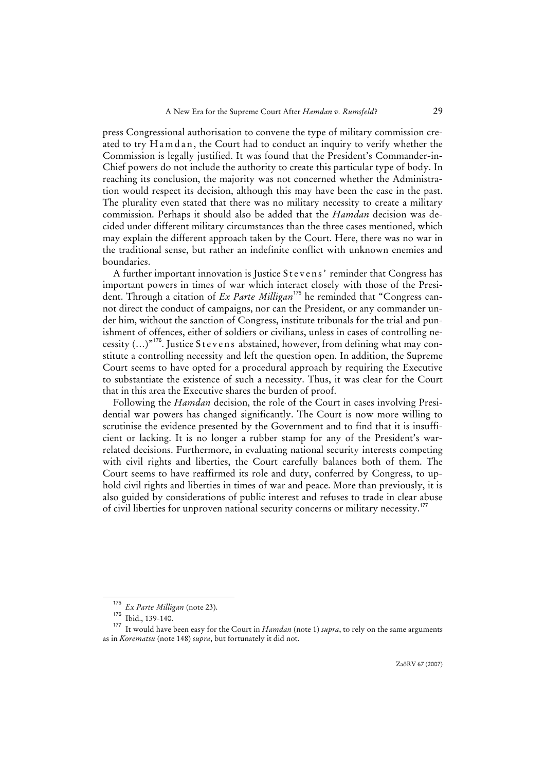press Congressional authorisation to convene the type of military commission created to try H a m d a n, the Court had to conduct an inquiry to verify whether the Commission is legally justified. It was found that the President's Commander-in-Chief powers do not include the authority to create this particular type of body. In reaching its conclusion, the majority was not concerned whether the Administration would respect its decision, although this may have been the case in the past. The plurality even stated that there was no military necessity to create a military commission. Perhaps it should also be added that the *Hamdan* decision was decided under different military circumstances than the three cases mentioned, which may explain the different approach taken by the Court. Here, there was no war in the traditional sense, but rather an indefinite conflict with unknown enemies and boundaries.

A further important innovation is Justice Stevens' reminder that Congress has important powers in times of war which interact closely with those of the President. Through a citation of *Ex Parte Milligan*<sup>175</sup> he reminded that "Congress cannot direct the conduct of campaigns, nor can the President, or any commander under him, without the sanction of Congress, institute tribunals for the trial and punishment of offences, either of soldiers or civilians, unless in cases of controlling necessity (...)"<sup>176</sup>. Justice Stevens abstained, however, from defining what may constitute a controlling necessity and left the question open. In addition, the Supreme Court seems to have opted for a procedural approach by requiring the Executive to substantiate the existence of such a necessity. Thus, it was clear for the Court that in this area the Executive shares the burden of proof.

Following the *Hamdan* decision, the role of the Court in cases involving Presidential war powers has changed significantly. The Court is now more willing to scrutinise the evidence presented by the Government and to find that it is insufficient or lacking. It is no longer a rubber stamp for any of the President's warrelated decisions. Furthermore, in evaluating national security interests competing with civil rights and liberties, the Court carefully balances both of them. The Court seems to have reaffirmed its role and duty, conferred by Congress, to uphold civil rights and liberties in times of war and peace. More than previously, it is also guided by considerations of public interest and refuses to trade in clear abuse of civil liberties for unproven national security concerns or military necessity.<sup>177</sup>

<sup>175</sup> *Ex Parte Milligan* (note 23).

<sup>176</sup> Ibid., 139-140.

<sup>177</sup> It would have been easy for the Court in *Hamdan* (note 1) *supra*, to rely on the same arguments as in *Korematsu* (note 148) *supra*, but fortunately it did not.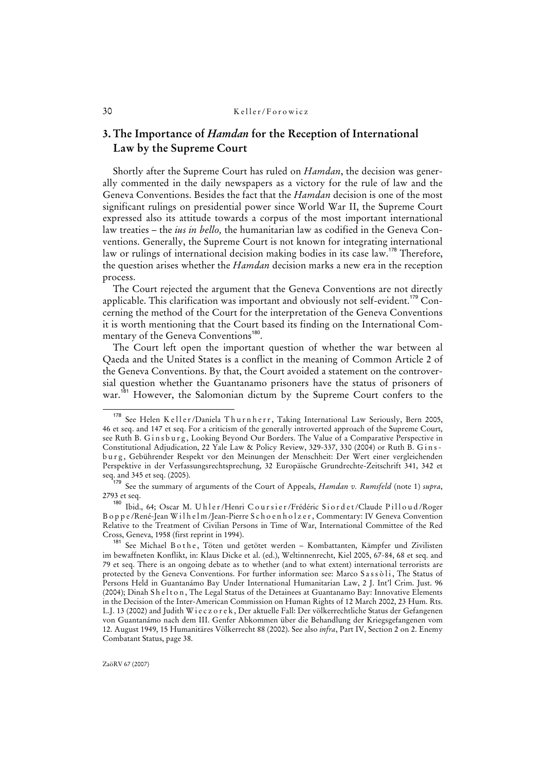# **3. The Importance of** *Hamdan* **for the Reception of International Law by the Supreme Court**

Shortly after the Supreme Court has ruled on *Hamdan*, the decision was generally commented in the daily newspapers as a victory for the rule of law and the Geneva Conventions. Besides the fact that the *Hamdan* decision is one of the most significant rulings on presidential power since World War II, the Supreme Court expressed also its attitude towards a corpus of the most important international law treaties – the *ius in bello,* the humanitarian law as codified in the Geneva Conventions. Generally, the Supreme Court is not known for integrating international law or rulings of international decision making bodies in its case law.<sup>178</sup> Therefore, the question arises whether the *Hamdan* decision marks a new era in the reception process.

The Court rejected the argument that the Geneva Conventions are not directly applicable. This clarification was important and obviously not self-evident.<sup>179</sup> Concerning the method of the Court for the interpretation of the Geneva Conventions it is worth mentioning that the Court based its finding on the International Commentary of the Geneva Conventions<sup>180</sup>.

The Court left open the important question of whether the war between al Qaeda and the United States is a conflict in the meaning of Common Article 2 of the Geneva Conventions. By that, the Court avoided a statement on the controversial question whether the Guantanamo prisoners have the status of prisoners of war.<sup>181</sup> However, the Salomonian dictum by the Supreme Court confers to the

<sup>&</sup>lt;sup>178</sup> See Helen K e ll e r /Daniela Thurnherr, Taking International Law Seriously, Bern 2005, 46 et seq. and 147 et seq. For a criticism of the generally introverted approach of the Supreme Court, see Ruth B. Ginsburg, Looking Beyond Our Borders. The Value of a Comparative Perspective in Constitutional Adjudication, 22 Yale Law & Policy Review, 329-337, 330 (2004) or Ruth B. G in s b u r g , Gebührender Respekt vor den Meinungen der Menschheit: Der Wert einer vergleichenden Perspektive in der Verfassungsrechtsprechung, 32 Europäische Grundrechte-Zeitschrift 341, 342 et seq. and 345 et seq. (2005).

<sup>179</sup> See the summary of arguments of the Court of Appeals, *Hamdan v. Rumsfeld* (note 1) *supra*, 2793 et seq.

<sup>180</sup> Ibid., 64; Oscar M. U h l e r / Henri C o u r s i e r / Frédéric S i o r d e t / Claude Pill o u d / Roger B o p p e /René-Jean W i l h e l m /Jean-Pierre S c h o e n h o l z e r , Commentary: IV Geneva Convention Relative to the Treatment of Civilian Persons in Time of War, International Committee of the Red Cross, Geneva, 1958 (first reprint in 1994).

See Michael B o the, Töten und getötet werden - Kombattanten, Kämpfer und Zivilisten im bewaffneten Konflikt, in: Klaus Dicke et al. (ed.), Weltinnenrecht, Kiel 2005, 67-84, 68 et seq. and 79 et seq. There is an ongoing debate as to whether (and to what extent) international terrorists are protected by the Geneva Conventions. For further information see: Marco Sassoli, The Status of Persons Held in Guantanámo Bay Under International Humanitarian Law, 2 J. Int'l Crim. Just. 96 (2004); Dinah Shelton, The Legal Status of the Detainees at Guantanamo Bay: Innovative Elements in the Decision of the Inter-American Commission on Human Rights of 12 March 2002, 23 Hum. Rts. L.J. 13 (2002) and Judith W i e c z o r e k , Der aktuelle Fall: Der völkerrechtliche Status der Gefangenen von Guantanámo nach dem III. Genfer Abkommen über die Behandlung der Kriegsgefangenen vom 12. August 1949, 15 Humanitäres Völkerrecht 88 (2002). See also *infra*, Part IV, Section 2 on 2. Enemy Combatant Status, page 38.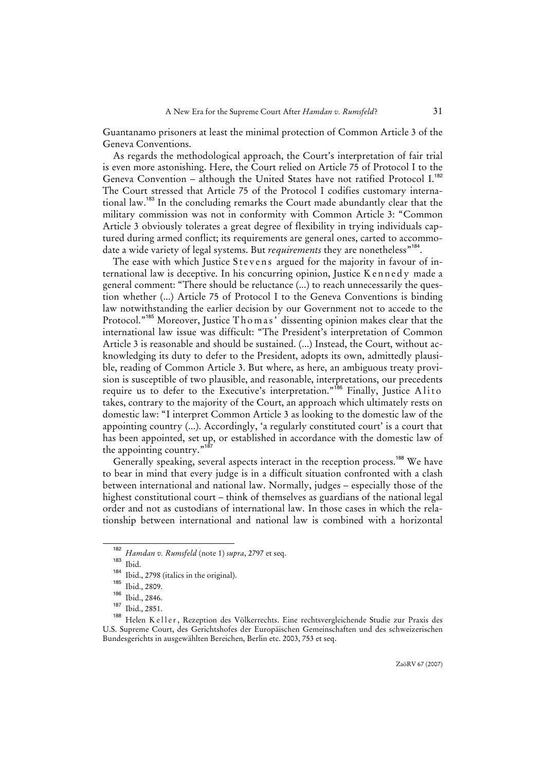Guantanamo prisoners at least the minimal protection of Common Article 3 of the Geneva Conventions.

As regards the methodological approach, the Court's interpretation of fair trial is even more astonishing. Here, the Court relied on Article 75 of Protocol I to the Geneva Convention - although the United States have not ratified Protocol I.<sup>182</sup> The Court stressed that Article 75 of the Protocol I codifies customary international law.<sup>183</sup> In the concluding remarks the Court made abundantly clear that the military commission was not in conformity with Common Article 3: "Common Article 3 obviously tolerates a great degree of flexibility in trying individuals captured during armed conflict; its requirements are general ones, carted to accommodate a wide variety of legal systems. But *requirements* they are nonetheless<sup>"184</sup>.

The ease with which Justice Stevens argued for the majority in favour of international law is deceptive. In his concurring opinion, Justice Kennedy made a general comment: "There should be reluctance (...) to reach unnecessarily the question whether (...) Article 75 of Protocol I to the Geneva Conventions is binding law notwithstanding the earlier decision by our Government not to accede to the Protocol."<sup>185</sup> Moreover, Justice Thomas' dissenting opinion makes clear that the international law issue was difficult: "The President's interpretation of Common Article 3 is reasonable and should be sustained. (...) Instead, the Court, without acknowledging its duty to defer to the President, adopts its own, admittedly plausible, reading of Common Article 3. But where, as here, an ambiguous treaty provision is susceptible of two plausible, and reasonable, interpretations, our precedents require us to defer to the Executive's interpretation."<sup>186</sup> Finally, Justice Alito takes, contrary to the majority of the Court, an approach which ultimately rests on domestic law: "I interpret Common Article 3 as looking to the domestic law of the appointing country (...). Accordingly, 'a regularly constituted court' is a court that has been appointed, set up, or established in accordance with the domestic law of the appointing country."<sup>18</sup>

Generally speaking, several aspects interact in the reception process.<sup>188</sup> We have to bear in mind that every judge is in a difficult situation confronted with a clash between international and national law. Normally, judges – especially those of the highest constitutional court – think of themselves as guardians of the national legal order and not as custodians of international law. In those cases in which the relationship between international and national law is combined with a horizontal

<sup>182</sup> *Hamdan v. Rumsfeld* (note 1) *supra*, 2797 et seq.

 $\frac{183}{184}$  Ibid.

 $184$  Ibid., 2798 (italics in the original).

 $\frac{185}{186}$  Ibid., 2809.

 $\frac{186}{187}$  Ibid., 2846.

 $\frac{187}{188}$  Ibid., 2851.

<sup>188</sup> Helen K e l l e r , Rezeption des Völkerrechts. Eine rechtsvergleichende Studie zur Praxis des U.S. Supreme Court, des Gerichtshofes der Europäischen Gemeinschaften und des schweizerischen Bundesgerichts in ausgewählten Bereichen, Berlin etc. 2003, 753 et seq.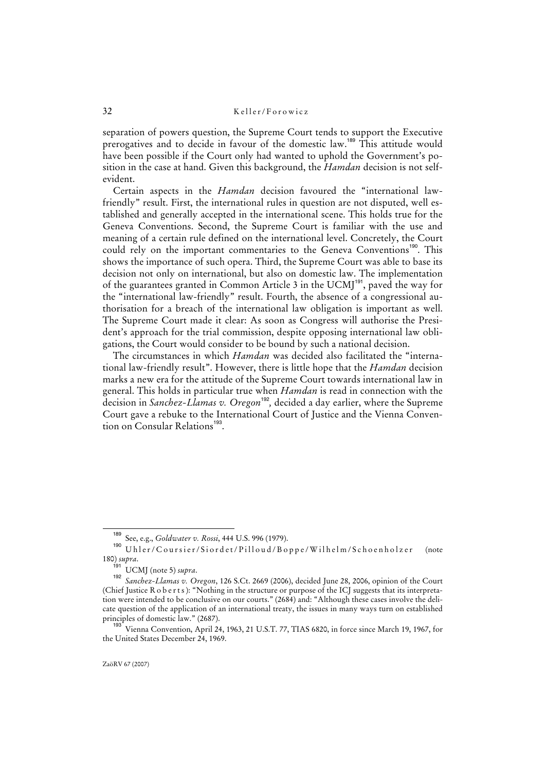separation of powers question, the Supreme Court tends to support the Executive prerogatives and to decide in favour of the domestic law.<sup>189</sup> This attitude would have been possible if the Court only had wanted to uphold the Government's position in the case at hand. Given this background, the *Hamdan* decision is not selfevident.

Certain aspects in the *Hamdan* decision favoured the "international lawfriendly" result. First, the international rules in question are not disputed, well established and generally accepted in the international scene. This holds true for the Geneva Conventions. Second, the Supreme Court is familiar with the use and meaning of a certain rule defined on the international level. Concretely, the Court could rely on the important commentaries to the Geneva Conventions<sup>190</sup>. This shows the importance of such opera. Third, the Supreme Court was able to base its decision not only on international, but also on domestic law. The implementation of the guarantees granted in Common Article 3 in the UCMJ<sup>191</sup>, paved the way for the "international law-friendly" result. Fourth, the absence of a congressional authorisation for a breach of the international law obligation is important as well. The Supreme Court made it clear: As soon as Congress will authorise the President's approach for the trial commission, despite opposing international law obligations, the Court would consider to be bound by such a national decision.

The circumstances in which *Hamdan* was decided also facilitated the "international law-friendly result". However, there is little hope that the *Hamdan* decision marks a new era for the attitude of the Supreme Court towards international law in general. This holds in particular true when *Hamdan* is read in connection with the decision in *Sanchez-Llamas v. Oregon*<sup>192</sup>, decided a day earlier, where the Supreme Court gave a rebuke to the International Court of Justice and the Vienna Convention on Consular Relations<sup>193</sup>.

<sup>189</sup> See, e.g., *Goldwater v. Rossi*, 444 U.S. 996 (1979).

<sup>190</sup> U h l e r / C o u r s i e r / S i o r d e t / P i l l o u d / B o p p e / W i l h e l m / S c h o e n h o l z er (note 180) *supra*.

 $\frac{191}{192}$  UCMJ (note 5) *supra*.

*Sanchez-Llamas v. Oregon*, 126 S.Ct. 2669 (2006), decided June 28, 2006, opinion of the Court (Chief Justice R o b e r t s ): "Nothing in the structure or purpose of the ICJ suggests that its interpretation were intended to be conclusive on our courts." (2684) and: "Although these cases involve the delicate question of the application of an international treaty, the issues in many ways turn on established principles of domestic law." (2687).

<sup>&</sup>lt;sup>193</sup> Vienna Convention, April 24, 1963, 21 U.S.T. 77, TIAS 6820, in force since March 19, 1967, for the United States December 24, 1969.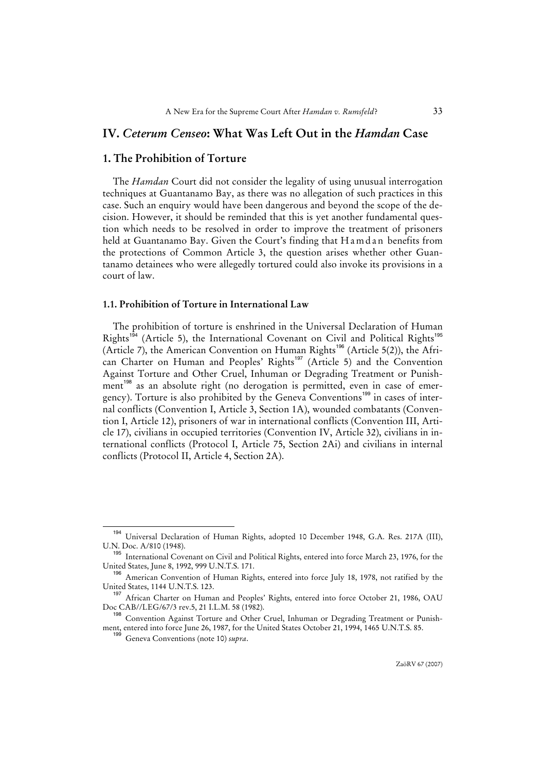# **IV.** *Ceterum Censeo***: What Was Left Out in the** *Hamdan* **Case**

# **1. The Prohibition of Torture**

The *Hamdan* Court did not consider the legality of using unusual interrogation techniques at Guantanamo Bay, as there was no allegation of such practices in this case. Such an enquiry would have been dangerous and beyond the scope of the decision. However, it should be reminded that this is yet another fundamental question which needs to be resolved in order to improve the treatment of prisoners held at Guantanamo Bay. Given the Court's finding that H a m d a n benefits from the protections of Common Article 3, the question arises whether other Guantanamo detainees who were allegedly tortured could also invoke its provisions in a court of law.

#### **1.1. Prohibition of Torture in International Law**

The prohibition of torture is enshrined in the Universal Declaration of Human Rights<sup>194</sup> (Article 5), the International Covenant on Civil and Political Rights<sup>19</sup> (Article 7), the American Convention on Human Rights<sup>196</sup> (Article 5(2)), the African Charter on Human and Peoples' Rights<sup>197</sup> (Article 5) and the Convention Against Torture and Other Cruel, Inhuman or Degrading Treatment or Punishment<sup>198</sup> as an absolute right (no derogation is permitted, even in case of emergency). Torture is also prohibited by the Geneva Conventions<sup>199</sup> in cases of internal conflicts (Convention I, Article 3, Section 1A), wounded combatants (Convention I, Article 12), prisoners of war in international conflicts (Convention III, Article 17), civilians in occupied territories (Convention IV, Article 32), civilians in international conflicts (Protocol I, Article 75, Section 2Ai) and civilians in internal conflicts (Protocol II, Article 4, Section 2A).

<sup>194</sup> Universal Declaration of Human Rights, adopted 10 December 1948, G.A. Res. 217A (III), U.N. Doc. A/810 (1948).

<sup>&</sup>lt;sup>195</sup> International Covenant on Civil and Political Rights, entered into force March 23, 1976, for the United States, June 8, 1992, 999 U.N.T.S. 171.

<sup>&</sup>lt;sup>196</sup> American Convention of Human Rights, entered into force July 18, 1978, not ratified by the United States, 1144 U.N.T.S. 123.

<sup>&</sup>lt;sup>197</sup> African Charter on Human and Peoples' Rights, entered into force October 21, 1986, OAU Doc CAB//LEG/67/3 rev.5, 21 I.L.M. 58 (1982).

<sup>198</sup> Convention Against Torture and Other Cruel, Inhuman or Degrading Treatment or Punishment, entered into force June 26, 1987, for the United States October 21, 1994, 1465 U.N.T.S. 85.

<sup>199</sup> Geneva Conventions (note 10) *supra*.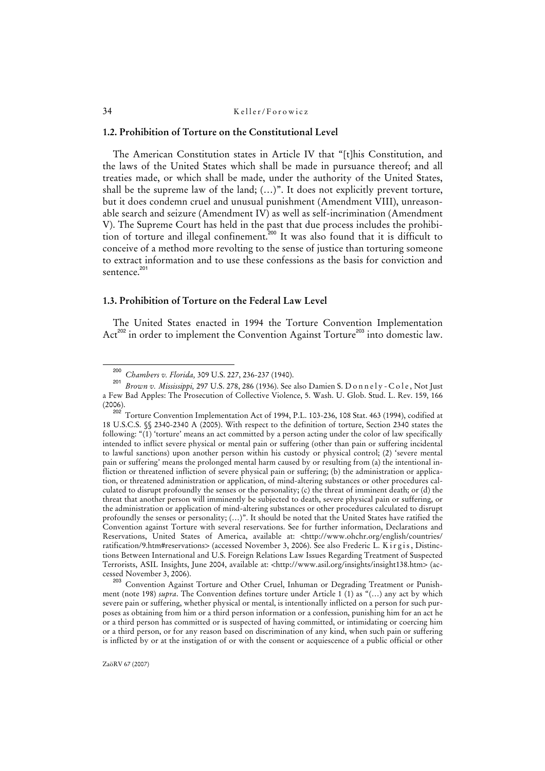#### **1.2. Prohibition of Torture on the Constitutional Level**

The American Constitution states in Article IV that "[t]his Constitution, and the laws of the United States which shall be made in pursuance thereof; and all treaties made, or which shall be made, under the authority of the United States, shall be the supreme law of the land; (…)". It does not explicitly prevent torture, but it does condemn cruel and unusual punishment (Amendment VIII), unreasonable search and seizure (Amendment IV) as well as self-incrimination (Amendment V). The Supreme Court has held in the past that due process includes the prohibition of torture and illegal confinement.<sup>200</sup> It was also found that it is difficult to conceive of a method more revolting to the sense of justice than torturing someone to extract information and to use these confessions as the basis for conviction and sentence.<sup>201</sup>

#### **1.3. Prohibition of Torture on the Federal Law Level**

The United States enacted in 1994 the Torture Convention Implementation Act<sup>202</sup> in order to implement the Convention Against Torture<sup>203</sup> into domestic law.

Convention Against Torture and Other Cruel, Inhuman or Degrading Treatment or Punishment (note 198) *supra*. The Convention defines torture under Article 1 (1) as "(…) any act by which severe pain or suffering, whether physical or mental, is intentionally inflicted on a person for such purposes as obtaining from him or a third person information or a confession, punishing him for an act he or a third person has committed or is suspected of having committed, or intimidating or coercing him or a third person, or for any reason based on discrimination of any kind, when such pain or suffering is inflicted by or at the instigation of or with the consent or acquiescence of a public official or other

<sup>200</sup> *Chambers v. Florida,* 309 U.S. 227, 236-237 (1940).

<sup>&</sup>lt;sup>201</sup> *Brown v. Mississippi,* 297 U.S. 278, 286 (1936). See also Damien S. D o n n e l y - C o l e , Not Just a Few Bad Apples: The Prosecution of Collective Violence, 5. Wash. U. Glob. Stud. L. Rev. 159, 166 (2006).

<sup>202</sup> Torture Convention Implementation Act of 1994, P.L. 103-236, 108 Stat. 463 (1994), codified at 18 U.S.C.S. §§ 2340-2340 A (2005). With respect to the definition of torture, Section 2340 states the following: "(1) 'torture' means an act committed by a person acting under the color of law specifically intended to inflict severe physical or mental pain or suffering (other than pain or suffering incidental to lawful sanctions) upon another person within his custody or physical control; (2) 'severe mental pain or suffering' means the prolonged mental harm caused by or resulting from (a) the intentional infliction or threatened infliction of severe physical pain or suffering; (b) the administration or application, or threatened administration or application, of mind-altering substances or other procedures calculated to disrupt profoundly the senses or the personality; (c) the threat of imminent death; or (d) the threat that another person will imminently be subjected to death, severe physical pain or suffering, or the administration or application of mind-altering substances or other procedures calculated to disrupt profoundly the senses or personality; (…)". It should be noted that the United States have ratified the Convention against Torture with several reservations. See for further information, Declarations and Reservations, United States of America, available at: <http://www.ohchr.org/english/countries/ ratification/9.htm#reservations> (accessed November 3, 2006). See also Frederic L. Kirgis, Distinctions Between International and U.S. Foreign Relations Law Issues Regarding Treatment of Suspected Terrorists, ASIL Insights, June 2004, available at: <http://www.asil.org/insights/insight138.htm> (accessed November 3, 2006).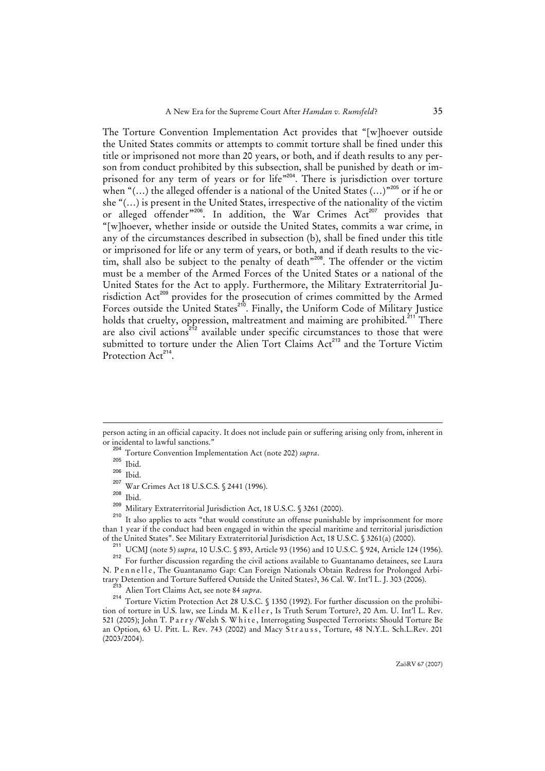The Torture Convention Implementation Act provides that "[w]hoever outside the United States commits or attempts to commit torture shall be fined under this title or imprisoned not more than 20 years, or both, and if death results to any person from conduct prohibited by this subsection, shall be punished by death or imprisoned for any term of years or for life"<sup>204</sup>. There is jurisdiction over torture when " $(...)$  the alleged offender is a national of the United States  $(...)$ "<sup>205</sup> or if he or she "(…) is present in the United States, irrespective of the nationality of the victim or alleged offender"<sup>206</sup>. In addition, the War Crimes Act<sup>207</sup> provides that "[w]hoever, whether inside or outside the United States, commits a war crime, in any of the circumstances described in subsection (b), shall be fined under this title or imprisoned for life or any term of years, or both, and if death results to the victim, shall also be subject to the penalty of death<sup>"208</sup>. The offender or the victim must be a member of the Armed Forces of the United States or a national of the United States for the Act to apply. Furthermore, the Military Extraterritorial Jurisdiction Act<sup>209</sup> provides for the prosecution of crimes committed by the Armed Forces outside the United States<sup>210</sup>. Finally, the Uniform Code of Military Justice holds that cruelty, oppression, maltreatment and maiming are prohibited.<sup>211</sup> There are also civil actions<sup>212</sup> available under specific circumstances to those that were submitted to torture under the Alien Tort Claims Act<sup>213</sup> and the Torture Victim Protection Act<sup>214</sup>.

l

It also applies to acts "that would constitute an offense punishable by imprisonment for more than 1 year if the conduct had been engaged in within the special maritime and territorial jurisdiction of the United States". See Military Extraterritorial Jurisdiction Act, 18 U.S.C. § 3261(a) (2000).

person acting in an official capacity. It does not include pain or suffering arising only from, inherent in or incidental to lawful sanctions."

<sup>&</sup>lt;sup>204</sup> Torture Convention Implementation Act (note 202) *supra*.

 $\frac{205}{206}$  Ibid.

 $\frac{206}{207}$  Ibid.

 $^{207}$  War Crimes Act 18 U.S.C.S. § 2441 (1996).

 $\frac{208}{209}$  Ibid.

<sup>&</sup>lt;sup>209</sup> Military Extraterritorial Jurisdiction Act, 18 U.S.C.  $$3261$  (2000).

<sup>&</sup>lt;sup>211</sup> UCMJ (note 5) *supra*, 10 U.S.C. § 893, Article 93 (1956) and 10 U.S.C. § 924, Article 124 (1956).

<sup>&</sup>lt;sup>212</sup> For further discussion regarding the civil actions available to Guantanamo detainees, see Laura N. P e n n e l l e , The Guantanamo Gap: Can Foreign Nationals Obtain Redress for Prolonged Arbitrary Detention and Torture Suffered Outside the United States?, 36 Cal. W. Int'l L. J. 303 (2006).

<sup>213</sup> Alien Tort Claims Act, see note 84 *supra*.

<sup>214</sup> Torture Victim Protection Act 28 U.S.C. § 1350 (1992). For further discussion on the prohibition of torture in U.S. law, see Linda M. K eller, Is Truth Serum Torture?, 20 Am. U. Int'l L. Rev. 521 (2005); John T. P a r r y /Welsh S. W h i t e , Interrogating Suspected Terrorists: Should Torture Be an Option, 63 U. Pitt. L. Rev. 743 (2002) and Macy Strauss, Torture, 48 N.Y.L. Sch.L.Rev. 201 (2003/2004).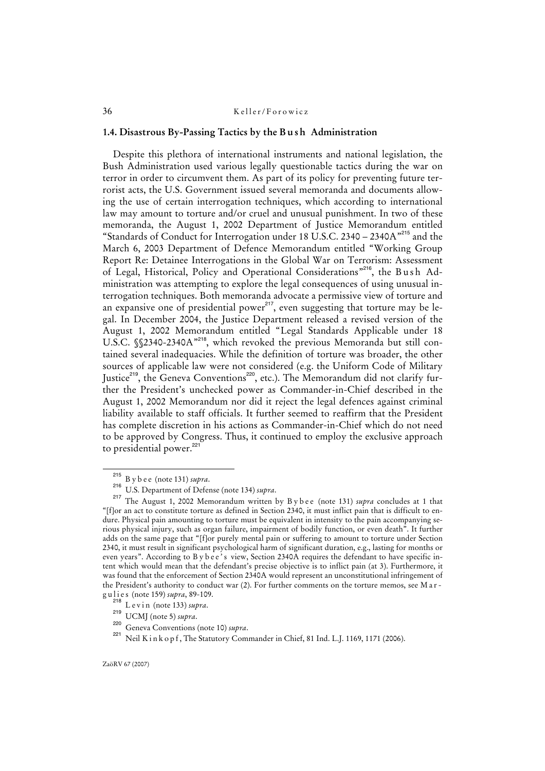#### **1.4. Disastrous By-Passing Tactics by the B u s h Administration**

Despite this plethora of international instruments and national legislation, the Bush Administration used various legally questionable tactics during the war on terror in order to circumvent them. As part of its policy for preventing future terrorist acts, the U.S. Government issued several memoranda and documents allowing the use of certain interrogation techniques, which according to international law may amount to torture and/or cruel and unusual punishment. In two of these memoranda, the August 1, 2002 Department of Justice Memorandum entitled "Standards of Conduct for Interrogation under 18 U.S.C. 2340 – 2340A"<sup>215</sup> and the March 6, 2003 Department of Defence Memorandum entitled "Working Group Report Re: Detainee Interrogations in the Global War on Terrorism: Assessment of Legal, Historical, Policy and Operational Considerations"<sup>216</sup>, the Bush Administration was attempting to explore the legal consequences of using unusual interrogation techniques. Both memoranda advocate a permissive view of torture and an expansive one of presidential power<sup>217</sup>, even suggesting that torture may be legal. In December 2004, the Justice Department released a revised version of the August 1, 2002 Memorandum entitled "Legal Standards Applicable under 18 U.S.C. §§2340-2340A"<sup>218</sup>, which revoked the previous Memoranda but still contained several inadequacies. While the definition of torture was broader, the other sources of applicable law were not considered (e.g. the Uniform Code of Military Justice<sup>219</sup>, the Geneva Conventions<sup>220</sup>, etc.). The Memorandum did not clarify further the President's unchecked power as Commander-in-Chief described in the August 1, 2002 Memorandum nor did it reject the legal defences against criminal liability available to staff officials. It further seemed to reaffirm that the President has complete discretion in his actions as Commander-in-Chief which do not need to be approved by Congress. Thus, it continued to employ the exclusive approach to presidential power.<sup>221</sup>

<sup>215</sup> B y b e e (note 131) *supra*.

<sup>216</sup> U.S. Department of Defense (note 134) *supra*.

<sup>&</sup>lt;sup>217</sup> The August 1, 2002 Memorandum written by B y b e e (note 131) *supra* concludes at 1 that "[f]or an act to constitute torture as defined in Section 2340, it must inflict pain that is difficult to endure. Physical pain amounting to torture must be equivalent in intensity to the pain accompanying serious physical injury, such as organ failure, impairment of bodily function, or even death". It further adds on the same page that "[f]or purely mental pain or suffering to amount to torture under Section 2340, it must result in significant psychological harm of significant duration, e.g., lasting for months or even years". According to B y b e e ' s view, Section 2340A requires the defendant to have specific intent which would mean that the defendant's precise objective is to inflict pain (at 3). Furthermore, it was found that the enforcement of Section 2340A would represent an unconstitutional infringement of the President's authority to conduct war (2). For further comments on the torture memos, see M a r g u l i e s (note 159) *supra*, 89-109.

<sup>&</sup>lt;sup>218</sup> L e v i n (note 133) *supra*.

<sup>219</sup> UCMJ (note 5) *supra*.

<sup>220</sup> Geneva Conventions (note 10) *supra*.

<sup>&</sup>lt;sup>221</sup> Neil K i n k o p f, The Statutory Commander in Chief, 81 Ind. L.J. 1169, 1171 (2006).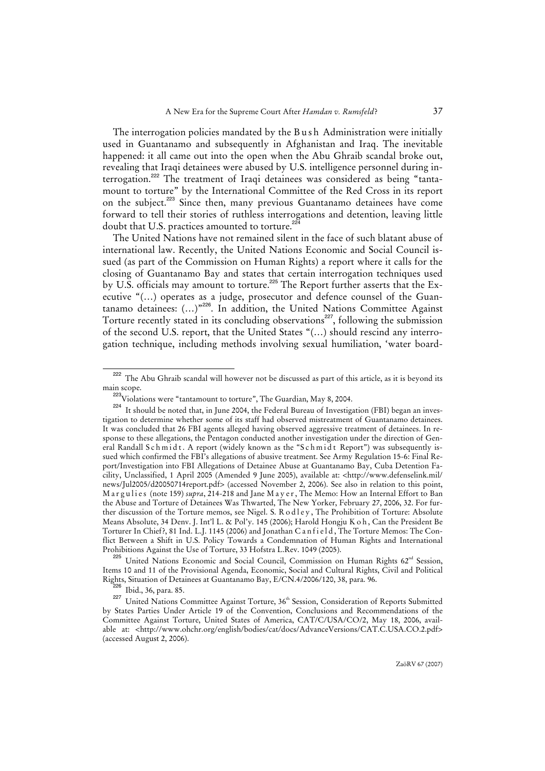The interrogation policies mandated by the Bush Administration were initially used in Guantanamo and subsequently in Afghanistan and Iraq. The inevitable happened: it all came out into the open when the Abu Ghraib scandal broke out, revealing that Iraqi detainees were abused by U.S. intelligence personnel during interrogation.<sup>222</sup> The treatment of Iraqi detainees was considered as being "tantamount to torture" by the International Committee of the Red Cross in its report on the subject.<sup>223</sup> Since then, many previous Guantanamo detainees have come forward to tell their stories of ruthless interrogations and detention, leaving little doubt that U.S. practices amounted to torture.<sup>22</sup>

The United Nations have not remained silent in the face of such blatant abuse of international law. Recently, the United Nations Economic and Social Council issued (as part of the Commission on Human Rights) a report where it calls for the closing of Guantanamo Bay and states that certain interrogation techniques used by U.S. officials may amount to torture.<sup>225</sup> The Report further asserts that the Executive "(…) operates as a judge, prosecutor and defence counsel of the Guantanamo detainees: (...)<sup>"226</sup>. In addition, the United Nations Committee Against Torture recently stated in its concluding observations<sup>227</sup>, following the submission of the second U.S. report, that the United States "(…) should rescind any interrogation technique, including methods involving sexual humiliation, 'water board-

<sup>225</sup> United Nations Economic and Social Council, Commission on Human Rights 62<sup>nd</sup> Session, Items 10 and 11 of the Provisional Agenda, Economic, Social and Cultural Rights, Civil and Political Rights, Situation of Detainees at Guantanamo Bay, E/CN.4/2006/120, 38, para. 96.

 $\frac{226}{227}$  Ibid., 36, para. 85.

<sup>&</sup>lt;sup>222</sup> The Abu Ghraib scandal will however not be discussed as part of this article, as it is beyond its main scope.

<sup>&</sup>lt;sup>223</sup>Violations were "tantamount to torture", The Guardian, May 8, 2004.

<sup>&</sup>lt;sup>224</sup> It should be noted that, in June 2004, the Federal Bureau of Investigation (FBI) began an investigation to determine whether some of its staff had observed mistreatment of Guantanamo detainees. It was concluded that 26 FBI agents alleged having observed aggressive treatment of detainees. In response to these allegations, the Pentagon conducted another investigation under the direction of General Randall Schmidt. A report (widely known as the "Schmidt Report") was subsequently issued which confirmed the FBI's allegations of abusive treatment. See Army Regulation 15-6: Final Report/Investigation into FBI Allegations of Detainee Abuse at Guantanamo Bay, Cuba Detention Facility, Unclassified, 1 April 2005 (Amended 9 June 2005), available at: <http://www.defenselink.mil/ news/Jul2005/d20050714report.pdf> (accessed November 2, 2006). See also in relation to this point, Margulies (note 159) *supra*, 214-218 and Jane Mayer, The Memo: How an Internal Effort to Ban the Abuse and Torture of Detainees Was Thwarted, The New Yorker, February 27, 2006, 32. For further discussion of the Torture memos, see Nigel. S. R o d l e y, The Prohibition of Torture: Absolute Means Absolute, 34 Denv. J. Int'l L. & Pol'y. 145 (2006); Harold Hongju K o h, Can the President Be Torturer In Chief?, 81 Ind. L.J. 1145 (2006) and Jonathan C an f i e l d, The Torture Memos: The Conflict Between a Shift in U.S. Policy Towards a Condemnation of Human Rights and International Prohibitions Against the Use of Torture, 33 Hofstra L.Rev. 1049 (2005).

United Nations Committee Against Torture, 36<sup>th</sup> Session, Consideration of Reports Submitted by States Parties Under Article 19 of the Convention, Conclusions and Recommendations of the Committee Against Torture, United States of America, CAT/C/USA/CO/2, May 18, 2006, available at: <http://www.ohchr.org/english/bodies/cat/docs/AdvanceVersions/CAT.C.USA.CO.2.pdf> (accessed August 2, 2006).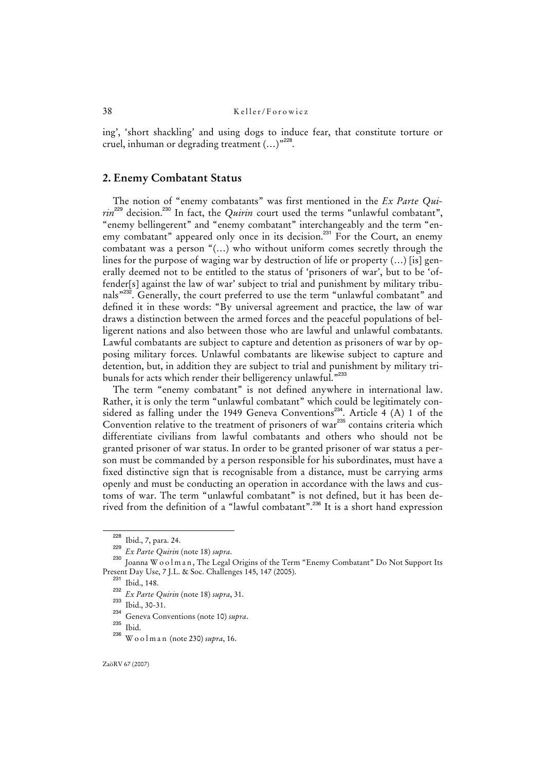ing', 'short shackling' and using dogs to induce fear, that constitute torture or cruel, inhuman or degrading treatment (...)"<sup>228</sup>.

## **2. Enemy Combatant Status**

The notion of "enemy combatants" was first mentioned in the *Ex Parte Quirin*<sup>229</sup> decision.<sup>230</sup> In fact, the *Quirin* court used the terms "unlawful combatant", "enemy bellingerent" and "enemy combatant" interchangeably and the term "enemy combatant" appeared only once in its decision.<sup>231</sup> For the Court, an enemy combatant was a person "(…) who without uniform comes secretly through the lines for the purpose of waging war by destruction of life or property (…) [is] generally deemed not to be entitled to the status of 'prisoners of war', but to be 'offender[s] against the law of war' subject to trial and punishment by military tribunals"<sup>232</sup>. Generally, the court preferred to use the term "unlawful combatant" and defined it in these words: "By universal agreement and practice, the law of war draws a distinction between the armed forces and the peaceful populations of belligerent nations and also between those who are lawful and unlawful combatants. Lawful combatants are subject to capture and detention as prisoners of war by opposing military forces. Unlawful combatants are likewise subject to capture and detention, but, in addition they are subject to trial and punishment by military tribunals for acts which render their belligerency unlawful."<sup>233</sup>

The term "enemy combatant" is not defined anywhere in international law. Rather, it is only the term "unlawful combatant" which could be legitimately considered as falling under the 1949 Geneva Conventions<sup>234</sup>. Article 4 (A) 1 of the Convention relative to the treatment of prisoners of war<sup>235</sup> contains criteria which differentiate civilians from lawful combatants and others who should not be granted prisoner of war status. In order to be granted prisoner of war status a person must be commanded by a person responsible for his subordinates, must have a fixed distinctive sign that is recognisable from a distance, must be carrying arms openly and must be conducting an operation in accordance with the laws and customs of war. The term "unlawful combatant" is not defined, but it has been derived from the definition of a "lawful combatant".<sup>236</sup> It is a short hand expression

<sup>228</sup> Ibid., 7, para. 24.

<sup>229</sup> *Ex Parte Quirin* (note 18) *supra*.

<sup>230</sup> Joanna W o o l m a n , The Legal Origins of the Term "Enemy Combatant" Do Not Support Its Present Day Use, 7 J.L. & Soc. Challenges 145, 147 (2005).

<sup>231</sup> Ibid., 148.

<sup>232</sup> *Ex Parte Quirin* (note 18) *supra*, 31.

<sup>&</sup>lt;sup>233</sup> Ibid., 30-31.

<sup>234</sup> Geneva Conventions (note 10) *supra*.

 $\frac{^{235}}{^{236}}$  Ibid.

<sup>236</sup> W o o l m a n (note 230) *supra*, 16.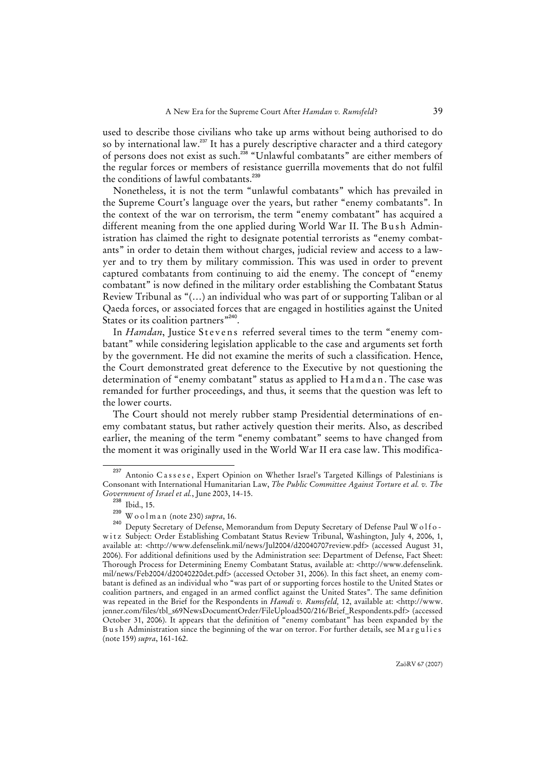used to describe those civilians who take up arms without being authorised to do so by international law.<sup>237</sup> It has a purely descriptive character and a third category of persons does not exist as such.<sup>238</sup> "Unlawful combatants" are either members of the regular forces or members of resistance guerrilla movements that do not fulfil the conditions of lawful combatants.<sup>236</sup>

Nonetheless, it is not the term "unlawful combatants" which has prevailed in the Supreme Court's language over the years, but rather "enemy combatants". In the context of the war on terrorism, the term "enemy combatant" has acquired a different meaning from the one applied during World War II. The Bush Administration has claimed the right to designate potential terrorists as "enemy combatants" in order to detain them without charges, judicial review and access to a lawyer and to try them by military commission. This was used in order to prevent captured combatants from continuing to aid the enemy. The concept of "enemy combatant" is now defined in the military order establishing the Combatant Status Review Tribunal as "(…) an individual who was part of or supporting Taliban or al Qaeda forces, or associated forces that are engaged in hostilities against the United States or its coalition partners<sup>"240</sup>.

In *Hamdan*, Justice Stevens referred several times to the term "enemy combatant" while considering legislation applicable to the case and arguments set forth by the government. He did not examine the merits of such a classification. Hence, the Court demonstrated great deference to the Executive by not questioning the determination of "enemy combatant" status as applied to H a m d a n. The case was remanded for further proceedings, and thus, it seems that the question was left to the lower courts.

The Court should not merely rubber stamp Presidential determinations of enemy combatant status, but rather actively question their merits. Also, as described earlier, the meaning of the term "enemy combatant" seems to have changed from the moment it was originally used in the World War II era case law. This modifica-

<sup>&</sup>lt;sup>237</sup> Antonio Cassese, Expert Opinion on Whether Israel's Targeted Killings of Palestinians is Consonant with International Humanitarian Law, *The Public Committee Against Torture et al. v. The Government of Israel et al.*, June 2003, 14-15.

 $\frac{238}{239}$  Ibid., 15.

<sup>&</sup>lt;sup>239</sup> W o o l m a n (note 230) *supra*, 16.<br><sup>240</sup> Doputy Scoretary of Defense Me

Deputy Secretary of Defense, Memorandum from Deputy Secretary of Defense Paul W o l f o witz Subject: Order Establishing Combatant Status Review Tribunal, Washington, July 4, 2006, 1, available at: <http://www.defenselink.mil/news/Jul2004/d20040707review.pdf> (accessed August 31, 2006). For additional definitions used by the Administration see: Department of Defense, Fact Sheet: Thorough Process for Determining Enemy Combatant Status, available at: <http://www.defenselink. mil/news/Feb2004/d20040220det.pdf> (accessed October 31, 2006). In this fact sheet, an enemy combatant is defined as an individual who "was part of or supporting forces hostile to the United States or coalition partners, and engaged in an armed conflict against the United States". The same definition was repeated in the Brief for the Respondents in *Hamdi v. Rumsfeld,* 12, available at: <http://www. jenner.com/files/tbl\_s69NewsDocumentOrder/FileUpload500/216/Brief\_Respondents.pdf> (accessed October 31, 2006). It appears that the definition of "enemy combatant" has been expanded by the Bush Administration since the beginning of the war on terror. For further details, see Margulies (note 159) *supra*, 161-162.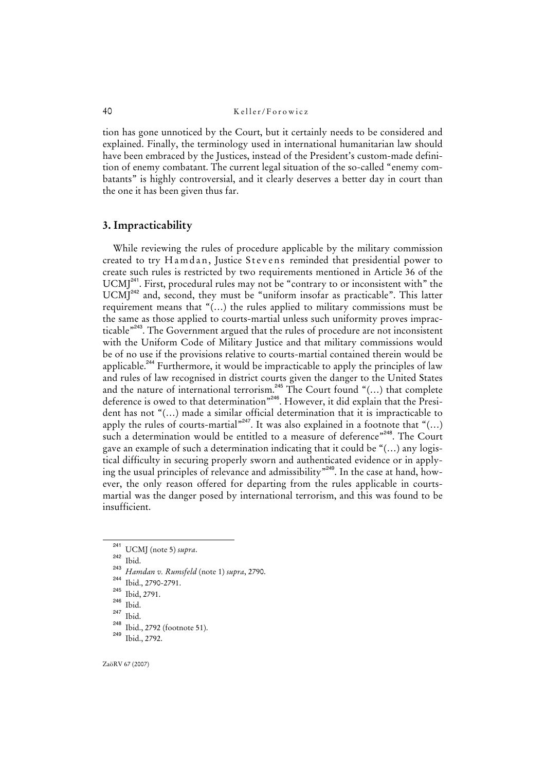tion has gone unnoticed by the Court, but it certainly needs to be considered and explained. Finally, the terminology used in international humanitarian law should have been embraced by the Justices, instead of the President's custom-made definition of enemy combatant. The current legal situation of the so-called "enemy combatants" is highly controversial, and it clearly deserves a better day in court than the one it has been given thus far.

## **3. Impracticability**

While reviewing the rules of procedure applicable by the military commission created to try Hamdan, Justice Stevens reminded that presidential power to create such rules is restricted by two requirements mentioned in Article 36 of the  $UCMJ<sup>241</sup>$ . First, procedural rules may not be "contrary to or inconsistent with" the UCMJ<sup>242</sup> and, second, they must be "uniform insofar as practicable". This latter requirement means that "(…) the rules applied to military commissions must be the same as those applied to courts-martial unless such uniformity proves impracticable"<sup>243</sup>. The Government argued that the rules of procedure are not inconsistent with the Uniform Code of Military Justice and that military commissions would be of no use if the provisions relative to courts-martial contained therein would be applicable.<sup>244</sup> Furthermore, it would be impracticable to apply the principles of law and rules of law recognised in district courts given the danger to the United States and the nature of international terrorism.<sup>245</sup> The Court found "(...) that complete deference is owed to that determination"<sup>246</sup>. However, it did explain that the President has not "(…) made a similar official determination that it is impracticable to apply the rules of courts-martial<sup> $n^{247}$ </sup>. It was also explained in a footnote that "(...) such a determination would be entitled to a measure of deference"<sup>248</sup>. The Court gave an example of such a determination indicating that it could be "(…) any logistical difficulty in securing properly sworn and authenticated evidence or in applying the usual principles of relevance and admissibility"<sup>249</sup>. In the case at hand, however, the only reason offered for departing from the rules applicable in courtsmartial was the danger posed by international terrorism, and this was found to be insufficient.

<sup>242</sup> Ibid.

<sup>241</sup> UCMJ (note 5) *supra*.

<sup>243</sup> *Hamdan v. Rumsfeld* (note 1) *supra*, 2790. 244

 $\frac{^{244}}{^{245}}$  Ibid., 2790-2791.

 $\frac{245}{246}$  Ibid, 2791.

 $\frac{246}{247}$  Ibid.

 $\frac{247}{248}$  Ibid.

 $^{248}$  Ibid., 2792 (footnote 51). Ibid., 2792.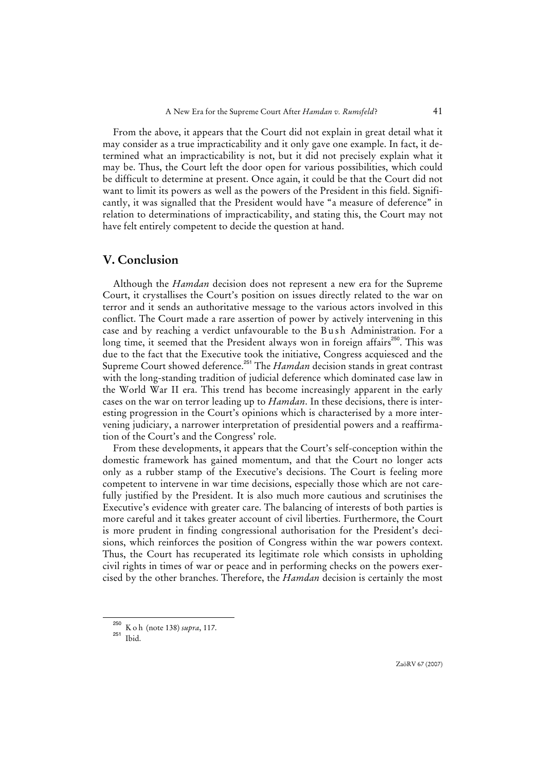From the above, it appears that the Court did not explain in great detail what it may consider as a true impracticability and it only gave one example. In fact, it determined what an impracticability is not, but it did not precisely explain what it may be. Thus, the Court left the door open for various possibilities, which could be difficult to determine at present. Once again, it could be that the Court did not want to limit its powers as well as the powers of the President in this field. Significantly, it was signalled that the President would have "a measure of deference" in relation to determinations of impracticability, and stating this, the Court may not have felt entirely competent to decide the question at hand.

# **V. Conclusion**

Although the *Hamdan* decision does not represent a new era for the Supreme Court, it crystallises the Court's position on issues directly related to the war on terror and it sends an authoritative message to the various actors involved in this conflict. The Court made a rare assertion of power by actively intervening in this case and by reaching a verdict unfavourable to the Bush Administration. For a long time, it seemed that the President always won in foreign affairs<sup>250</sup>. This was due to the fact that the Executive took the initiative, Congress acquiesced and the Supreme Court showed deference.<sup>251</sup> The *Hamdan* decision stands in great contrast with the long-standing tradition of judicial deference which dominated case law in the World War II era. This trend has become increasingly apparent in the early cases on the war on terror leading up to *Hamdan*. In these decisions, there is interesting progression in the Court's opinions which is characterised by a more intervening judiciary, a narrower interpretation of presidential powers and a reaffirmation of the Court's and the Congress' role.

From these developments, it appears that the Court's self-conception within the domestic framework has gained momentum, and that the Court no longer acts only as a rubber stamp of the Executive's decisions. The Court is feeling more competent to intervene in war time decisions, especially those which are not carefully justified by the President. It is also much more cautious and scrutinises the Executive's evidence with greater care. The balancing of interests of both parties is more careful and it takes greater account of civil liberties. Furthermore, the Court is more prudent in finding congressional authorisation for the President's decisions, which reinforces the position of Congress within the war powers context. Thus, the Court has recuperated its legitimate role which consists in upholding civil rights in times of war or peace and in performing checks on the powers exercised by the other branches. Therefore, the *Hamdan* decision is certainly the most

ZaöRV 67 (2007)

<sup>250</sup> K o h (note 138) *supra*, 117.

<sup>251</sup> Ibid.